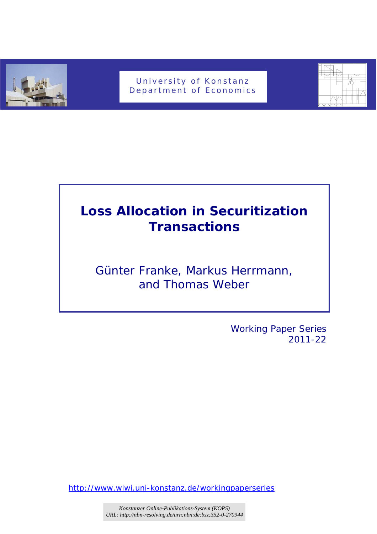

## University of Konstanz Department of Economics



# **Loss Allocation in Securitization Transactions**

## *Günter Franke, Markus Herrmann, and Thomas Weber*

 Working Paper Series 2011-22

http://www.wiwi.uni-konstanz.de/workingpaperseries

*Konstanzer Online-Publikations-System (KOPS) URL[: http://nbn-resolving.de/urn:nbn:de:bsz:352-0-270944](http://nbn-resolving.de/urn:nbn:de:bsz:352-0-270944)*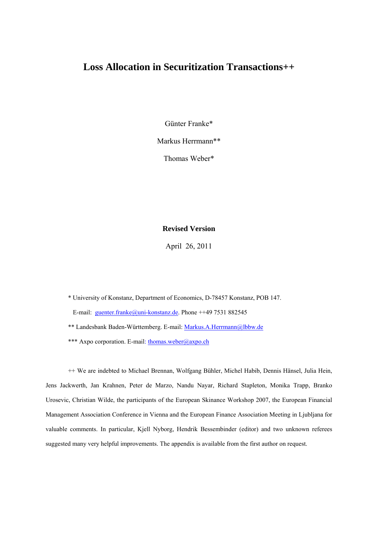## **Loss Allocation in Securitization Transactions++**

Günter Franke\*

Markus Herrmann\*\*

Thomas Weber\*

#### **Revised Version**

April 26, 2011

\* University of Konstanz, Department of Economics, D-78457 Konstanz, POB 147. E-mail: [guenter.franke@uni-konstanz.de.](mailto:guenter.franke@uni-konstanz.de) Phone ++49 7531 882545 \*\* Landesbank Baden-Württemberg. E-mail: [Markus.A.Herrmann@lbbw.de](mailto:Markus.A.Herrmann@lbbw.de) \*\*\* Axpo corporation. E-mail: thomas.weber@axpo.ch

++ We are indebted to Michael Brennan, Wolfgang Bühler, Michel Habib, Dennis Hänsel, Julia Hein, Jens Jackwerth, Jan Krahnen, Peter de Marzo, Nandu Nayar, Richard Stapleton, Monika Trapp, Branko Urosevic, Christian Wilde, the participants of the European Skinance Workshop 2007, the European Financial Management Association Conference in Vienna and the European Finance Association Meeting in Ljubljana for valuable comments. In particular, Kjell Nyborg, Hendrik Bessembinder (editor) and two unknown referees suggested many very helpful improvements. The appendix is available from the first author on request.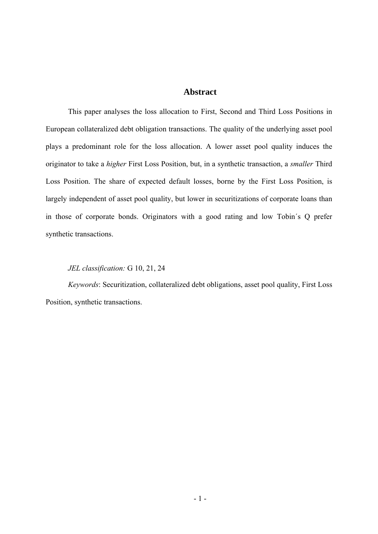#### **Abstract**

This paper analyses the loss allocation to First, Second and Third Loss Positions in European collateralized debt obligation transactions. The quality of the underlying asset pool plays a predominant role for the loss allocation. A lower asset pool quality induces the originator to take a *higher* First Loss Position, but, in a synthetic transaction, a *smaller* Third Loss Position. The share of expected default losses, borne by the First Loss Position, is largely independent of asset pool quality, but lower in securitizations of corporate loans than in those of corporate bonds. Originators with a good rating and low Tobin´s Q prefer synthetic transactions.

#### *JEL classification:* G 10, 21, 24

*Keywords*: Securitization, collateralized debt obligations, asset pool quality, First Loss Position, synthetic transactions.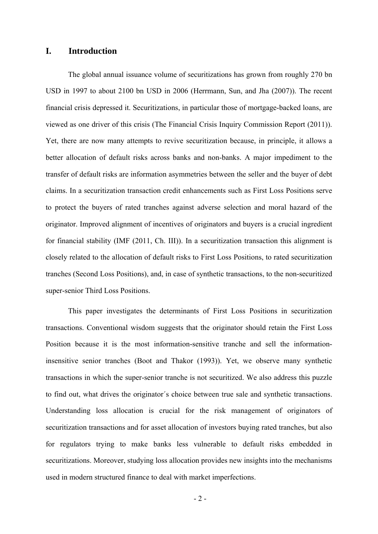#### **I. Introduction**

The global annual issuance volume of securitizations has grown from roughly 270 bn USD in 1997 to about 2100 bn USD in 2006 (Herrmann, Sun, and Jha (2007)). The recent financial crisis depressed it. Securitizations, in particular those of mortgage-backed loans, are viewed as one driver of this crisis (The Financial Crisis Inquiry Commission Report (2011)). Yet, there are now many attempts to revive securitization because, in principle, it allows a better allocation of default risks across banks and non-banks. A major impediment to the transfer of default risks are information asymmetries between the seller and the buyer of debt claims. In a securitization transaction credit enhancements such as First Loss Positions serve to protect the buyers of rated tranches against adverse selection and moral hazard of the originator. Improved alignment of incentives of originators and buyers is a crucial ingredient for financial stability (IMF (2011, Ch. III)). In a securitization transaction this alignment is closely related to the allocation of default risks to First Loss Positions, to rated securitization tranches (Second Loss Positions), and, in case of synthetic transactions, to the non-securitized super-senior Third Loss Positions.

This paper investigates the determinants of First Loss Positions in securitization transactions. Conventional wisdom suggests that the originator should retain the First Loss Position because it is the most information-sensitive tranche and sell the informationinsensitive senior tranches (Boot and Thakor (1993)). Yet, we observe many synthetic transactions in which the super-senior tranche is not securitized. We also address this puzzle to find out, what drives the originator´s choice between true sale and synthetic transactions. Understanding loss allocation is crucial for the risk management of originators of securitization transactions and for asset allocation of investors buying rated tranches, but also for regulators trying to make banks less vulnerable to default risks embedded in securitizations. Moreover, studying loss allocation provides new insights into the mechanisms used in modern structured finance to deal with market imperfections.

 $-2-$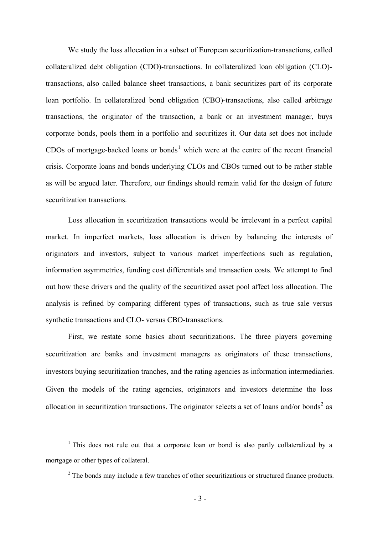We study the loss allocation in a subset of European securitization-transactions, called collateralized debt obligation (CDO)-transactions. In collateralized loan obligation (CLO) transactions, also called balance sheet transactions, a bank securitizes part of its corporate loan portfolio. In collateralized bond obligation (CBO)-transactions, also called arbitrage transactions, the originator of the transaction, a bank or an investment manager, buys corporate bonds, pools them in a portfolio and securitizes it. Our data set does not include CDOs of mortgage-backed loans or bonds<sup>[1](#page-4-0)</sup> which were at the centre of the recent financial crisis. Corporate loans and bonds underlying CLOs and CBOs turned out to be rather stable as will be argued later. Therefore, our findings should remain valid for the design of future securitization transactions.

Loss allocation in securitization transactions would be irrelevant in a perfect capital market. In imperfect markets, loss allocation is driven by balancing the interests of originators and investors, subject to various market imperfections such as regulation, information asymmetries, funding cost differentials and transaction costs. We attempt to find out how these drivers and the quality of the securitized asset pool affect loss allocation. The analysis is refined by comparing different types of transactions, such as true sale versus synthetic transactions and CLO- versus CBO-transactions.

First, we restate some basics about securitizations. The three players governing securitization are banks and investment managers as originators of these transactions, investors buying securitization tranches, and the rating agencies as information intermediaries. Given the models of the rating agencies, originators and investors determine the loss allocation in securitization transactions. The originator selects a set of loans and/or bonds<sup>[2](#page-4-1)</sup> as

1

<span id="page-4-1"></span><span id="page-4-0"></span><sup>&</sup>lt;sup>1</sup> This does not rule out that a corporate loan or bond is also partly collateralized by a mortgage or other types of collateral.

 $2^2$  The bonds may include a few tranches of other securitizations or structured finance products.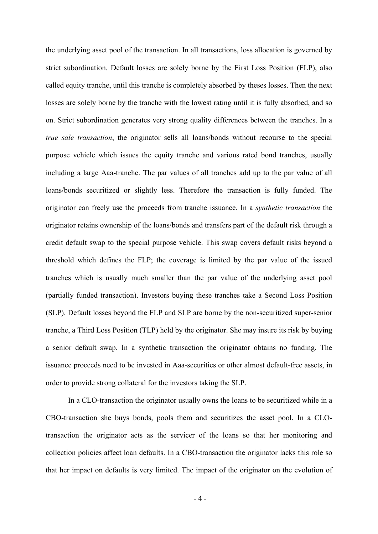the underlying asset pool of the transaction. In all transactions, loss allocation is governed by strict subordination. Default losses are solely borne by the First Loss Position (FLP), also called equity tranche, until this tranche is completely absorbed by theses losses. Then the next losses are solely borne by the tranche with the lowest rating until it is fully absorbed, and so on. Strict subordination generates very strong quality differences between the tranches. In a *true sale transaction*, the originator sells all loans/bonds without recourse to the special purpose vehicle which issues the equity tranche and various rated bond tranches, usually including a large Aaa-tranche. The par values of all tranches add up to the par value of all loans/bonds securitized or slightly less. Therefore the transaction is fully funded. The originator can freely use the proceeds from tranche issuance. In a *synthetic transaction* the originator retains ownership of the loans/bonds and transfers part of the default risk through a credit default swap to the special purpose vehicle. This swap covers default risks beyond a threshold which defines the FLP; the coverage is limited by the par value of the issued tranches which is usually much smaller than the par value of the underlying asset pool (partially funded transaction). Investors buying these tranches take a Second Loss Position (SLP). Default losses beyond the FLP and SLP are borne by the non-securitized super-senior tranche, a Third Loss Position (TLP) held by the originator. She may insure its risk by buying a senior default swap. In a synthetic transaction the originator obtains no funding. The issuance proceeds need to be invested in Aaa-securities or other almost default-free assets, in order to provide strong collateral for the investors taking the SLP.

In a CLO-transaction the originator usually owns the loans to be securitized while in a CBO-transaction she buys bonds, pools them and securitizes the asset pool. In a CLOtransaction the originator acts as the servicer of the loans so that her monitoring and collection policies affect loan defaults. In a CBO-transaction the originator lacks this role so that her impact on defaults is very limited. The impact of the originator on the evolution of

- 4 -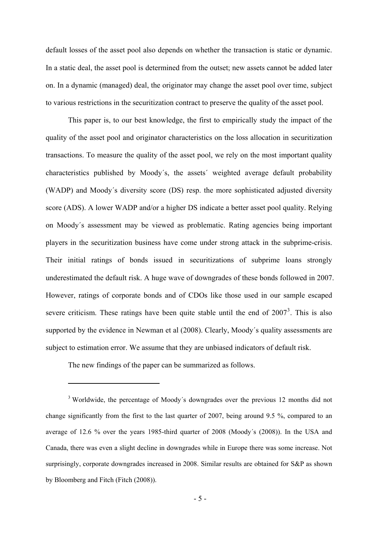<span id="page-6-0"></span>default losses of the asset pool also depends on whether the transaction is static or dynamic. In a static deal, the asset pool is determined from the outset; new assets cannot be added later on. In a dynamic (managed) deal, the originator may change the asset pool over time, subject to various restrictions in the securitization contract to preserve the quality of the asset pool.

This paper is, to our best knowledge, the first to empirically study the impact of the quality of the asset pool and originator characteristics on the loss allocation in securitization transactions. To measure the quality of the asset pool, we rely on the most important quality characteristics published by Moody´s, the assets´ weighted average default probability (WADP) and Moody´s diversity score (DS) resp. the more sophisticated adjusted diversity score (ADS). A lower WADP and/or a higher DS indicate a better asset pool quality. Relying on Moody´s assessment may be viewed as problematic. Rating agencies being important players in the securitization business have come under strong attack in the subprime-crisis. Their initial ratings of bonds issued in securitizations of subprime loans strongly underestimated the default risk. A huge wave of downgrades of these bonds followed in 2007. However, ratings of corporate bonds and of CDOs like those used in our sample escaped severe criticism. These ratings have been quite stable until the end of  $2007<sup>3</sup>$  $2007<sup>3</sup>$  $2007<sup>3</sup>$ . This is also supported by the evidence in Newman et al (2008). Clearly, Moody´s quality assessments are subject to estimation error. We assume that they are unbiased indicators of default risk.

The new findings of the paper can be summarized as follows.

1

<sup>&</sup>lt;sup>3</sup> Worldwide, the percentage of Moody's downgrades over the previous 12 months did not change significantly from the first to the last quarter of 2007, being around 9.5 %, compared to an average of 12.6 % over the years 1985-third quarter of 2008 (Moody´s (2008)). In the USA and Canada, there was even a slight decline in downgrades while in Europe there was some increase. Not surprisingly, corporate downgrades increased in 2008. Similar results are obtained for S&P as shown by Bloomberg and Fitch (Fitch (2008)).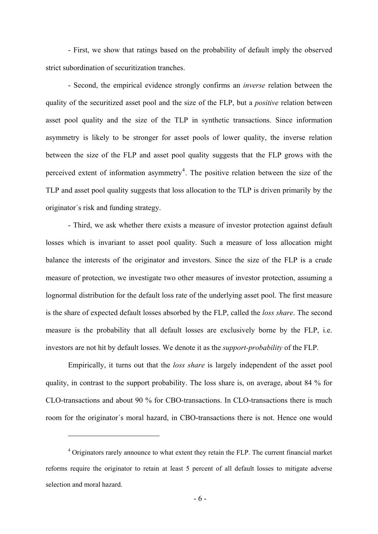<span id="page-7-0"></span>- First, we show that ratings based on the probability of default imply the observed strict subordination of securitization tranches.

- Second, the empirical evidence strongly confirms an *inverse* relation between the quality of the securitized asset pool and the size of the FLP, but a *positive* relation between asset pool quality and the size of the TLP in synthetic transactions. Since information asymmetry is likely to be stronger for asset pools of lower quality, the inverse relation between the size of the FLP and asset pool quality suggests that the FLP grows with the perceived extent of information asymmetry<sup>[4](#page-7-0)</sup>. The positive relation between the size of the TLP and asset pool quality suggests that loss allocation to the TLP is driven primarily by the originator´s risk and funding strategy.

- Third, we ask whether there exists a measure of investor protection against default losses which is invariant to asset pool quality. Such a measure of loss allocation might balance the interests of the originator and investors. Since the size of the FLP is a crude measure of protection, we investigate two other measures of investor protection, assuming a lognormal distribution for the default loss rate of the underlying asset pool. The first measure is the share of expected default losses absorbed by the FLP, called the *loss share*. The second measure is the probability that all default losses are exclusively borne by the FLP, i.e. investors are not hit by default losses. We denote it as the *support-probability* of the FLP.

Empirically, it turns out that the *loss share* is largely independent of the asset pool quality, in contrast to the support probability. The loss share is, on average, about 84 % for CLO-transactions and about 90 % for CBO-transactions. In CLO-transactions there is much room for the originator´s moral hazard, in CBO-transactions there is not. Hence one would

1

<sup>&</sup>lt;sup>4</sup> Originators rarely announce to what extent they retain the FLP. The current financial market reforms require the originator to retain at least 5 percent of all default losses to mitigate adverse selection and moral hazard.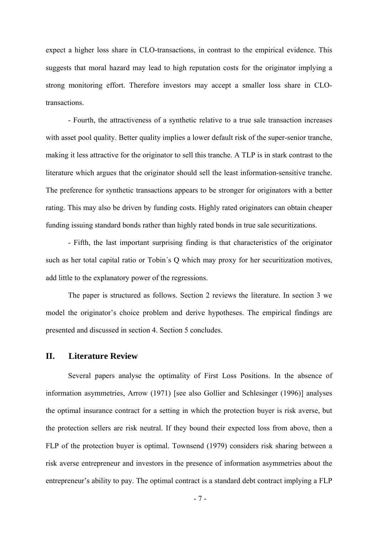expect a higher loss share in CLO-transactions, in contrast to the empirical evidence. This suggests that moral hazard may lead to high reputation costs for the originator implying a strong monitoring effort. Therefore investors may accept a smaller loss share in CLOtransactions.

- Fourth, the attractiveness of a synthetic relative to a true sale transaction increases with asset pool quality. Better quality implies a lower default risk of the super-senior tranche, making it less attractive for the originator to sell this tranche. A TLP is in stark contrast to the literature which argues that the originator should sell the least information-sensitive tranche. The preference for synthetic transactions appears to be stronger for originators with a better rating. This may also be driven by funding costs. Highly rated originators can obtain cheaper funding issuing standard bonds rather than highly rated bonds in true sale securitizations.

- Fifth, the last important surprising finding is that characteristics of the originator such as her total capital ratio or Tobin´s Q which may proxy for her securitization motives, add little to the explanatory power of the regressions.

The paper is structured as follows. Section 2 reviews the literature. In section 3 we model the originator's choice problem and derive hypotheses. The empirical findings are presented and discussed in section 4. Section 5 concludes.

#### **II. Literature Review**

Several papers analyse the optimality of First Loss Positions. In the absence of information asymmetries, Arrow (1971) [see also Gollier and Schlesinger (1996)] analyses the optimal insurance contract for a setting in which the protection buyer is risk averse, but the protection sellers are risk neutral. If they bound their expected loss from above, then a FLP of the protection buyer is optimal. Townsend (1979) considers risk sharing between a risk averse entrepreneur and investors in the presence of information asymmetries about the entrepreneur's ability to pay. The optimal contract is a standard debt contract implying a FLP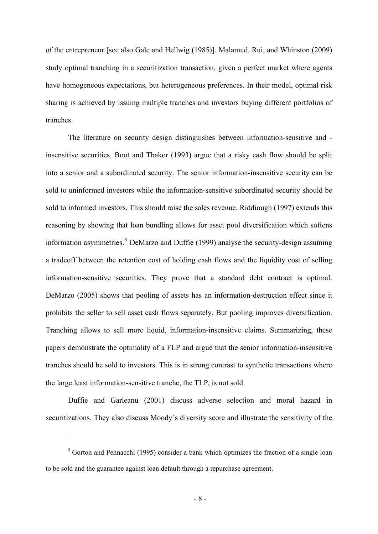<span id="page-9-0"></span>of the entrepreneur [see also Gale and Hellwig (1985)]. Malamud, Rui, and Whinston (2009) study optimal tranching in a securitization transaction, given a perfect market where agents have homogeneous expectations, but heterogeneous preferences. In their model, optimal risk sharing is achieved by issuing multiple tranches and investors buying different portfolios of tranches.

The literature on security design distinguishes between information-sensitive and insensitive securities. Boot and Thakor (1993) argue that a risky cash flow should be split into a senior and a subordinated security. The senior information-insensitive security can be sold to uninformed investors while the information-sensitive subordinated security should be sold to informed investors. This should raise the sales revenue. Riddiough (1997) extends this reasoning by showing that loan bundling allows for asset pool diversification which softens information asymmetries.<sup>[5](#page-9-0)</sup> DeMarzo and Duffie (1999) analyse the security-design assuming a tradeoff between the retention cost of holding cash flows and the liquidity cost of selling information-sensitive securities. They prove that a standard debt contract is optimal. DeMarzo (2005) shows that pooling of assets has an information-destruction effect since it prohibits the seller to sell asset cash flows separately. But pooling improves diversification. Tranching allows to sell more liquid, information-insensitive claims. Summarizing, these papers demonstrate the optimality of a FLP and argue that the senior information-insensitive tranches should be sold to investors. This is in strong contrast to synthetic transactions where the large least information-sensitive tranche, the TLP, is not sold.

Duffie and Garleanu (2001) discuss adverse selection and moral hazard in securitizations. They also discuss Moody´s diversity score and illustrate the sensitivity of the

1

 $5$  Gorton and Pennacchi (1995) consider a bank which optimizes the fraction of a single loan to be sold and the guarantee against loan default through a repurchase agreement.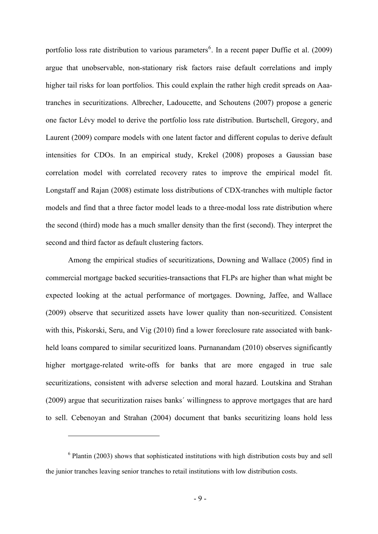<span id="page-10-0"></span>portfolio loss rate distribution to various parameters<sup>[6](#page-10-0)</sup>. In a recent paper Duffie et al. (2009) argue that unobservable, non-stationary risk factors raise default correlations and imply higher tail risks for loan portfolios. This could explain the rather high credit spreads on Aaatranches in securitizations. Albrecher, Ladoucette, and Schoutens (2007) propose a generic one factor Lévy model to derive the portfolio loss rate distribution. Burtschell, Gregory, and Laurent (2009) compare models with one latent factor and different copulas to derive default intensities for CDOs. In an empirical study, Krekel (2008) proposes a Gaussian base correlation model with correlated recovery rates to improve the empirical model fit. Longstaff and Rajan (2008) estimate loss distributions of CDX-tranches with multiple factor models and find that a three factor model leads to a three-modal loss rate distribution where the second (third) mode has a much smaller density than the first (second). They interpret the second and third factor as default clustering factors.

Among the empirical studies of securitizations, Downing and Wallace (2005) find in commercial mortgage backed securities-transactions that FLPs are higher than what might be expected looking at the actual performance of mortgages. Downing, Jaffee, and Wallace (2009) observe that securitized assets have lower quality than non-securitized. Consistent with this, Piskorski, Seru, and Vig (2010) find a lower foreclosure rate associated with bankheld loans compared to similar securitized loans. Purnanandam (2010) observes significantly higher mortgage-related write-offs for banks that are more engaged in true sale securitizations, consistent with adverse selection and moral hazard. Loutskina and Strahan (2009) argue that securitization raises banks´ willingness to approve mortgages that are hard to sell. Cebenoyan and Strahan (2004) document that banks securitizing loans hold less

1

<sup>&</sup>lt;sup>6</sup> Plantin (2003) shows that sophisticated institutions with high distribution costs buy and sell the junior tranches leaving senior tranches to retail institutions with low distribution costs.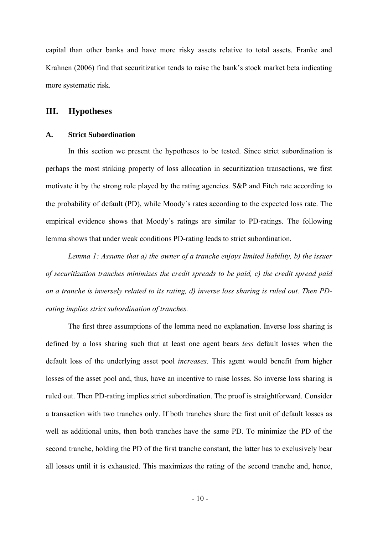capital than other banks and have more risky assets relative to total assets. Franke and Krahnen (2006) find that securitization tends to raise the bank's stock market beta indicating more systematic risk.

#### **III. Hypotheses**

#### **A. Strict Subordination**

In this section we present the hypotheses to be tested. Since strict subordination is perhaps the most striking property of loss allocation in securitization transactions, we first motivate it by the strong role played by the rating agencies. S&P and Fitch rate according to the probability of default (PD), while Moody´s rates according to the expected loss rate. The empirical evidence shows that Moody's ratings are similar to PD-ratings. The following lemma shows that under weak conditions PD-rating leads to strict subordination.

*Lemma 1: Assume that a) the owner of a tranche enjoys limited liability, b) the issuer of securitization tranches minimizes the credit spreads to be paid, c) the credit spread paid on a tranche is inversely related to its rating, d) inverse loss sharing is ruled out. Then PDrating implies strict subordination of tranches.* 

The first three assumptions of the lemma need no explanation. Inverse loss sharing is defined by a loss sharing such that at least one agent bears *less* default losses when the default loss of the underlying asset pool *increases*. This agent would benefit from higher losses of the asset pool and, thus, have an incentive to raise losses. So inverse loss sharing is ruled out. Then PD-rating implies strict subordination. The proof is straightforward. Consider a transaction with two tranches only. If both tranches share the first unit of default losses as well as additional units, then both tranches have the same PD. To minimize the PD of the second tranche, holding the PD of the first tranche constant, the latter has to exclusively bear all losses until it is exhausted. This maximizes the rating of the second tranche and, hence,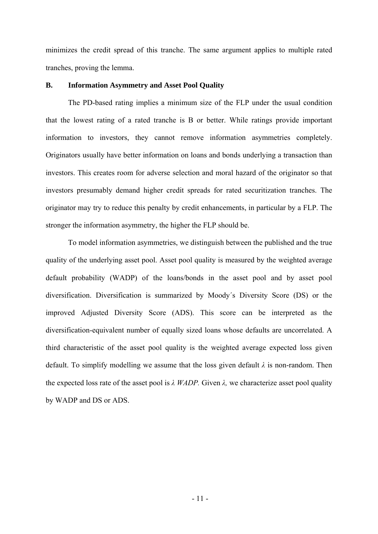minimizes the credit spread of this tranche. The same argument applies to multiple rated tranches, proving the lemma.

#### **B. Information Asymmetry and Asset Pool Quality**

The PD-based rating implies a minimum size of the FLP under the usual condition that the lowest rating of a rated tranche is B or better. While ratings provide important information to investors, they cannot remove information asymmetries completely. Originators usually have better information on loans and bonds underlying a transaction than investors. This creates room for adverse selection and moral hazard of the originator so that investors presumably demand higher credit spreads for rated securitization tranches. The originator may try to reduce this penalty by credit enhancements, in particular by a FLP. The stronger the information asymmetry, the higher the FLP should be.

To model information asymmetries, we distinguish between the published and the true quality of the underlying asset pool. Asset pool quality is measured by the weighted average default probability (WADP) of the loans/bonds in the asset pool and by asset pool diversification. Diversification is summarized by Moody´s Diversity Score (DS) or the improved Adjusted Diversity Score (ADS). This score can be interpreted as the diversification-equivalent number of equally sized loans whose defaults are uncorrelated. A third characteristic of the asset pool quality is the weighted average expected loss given default. To simplify modelling we assume that the loss given default *λ* is non-random. Then the expected loss rate of the asset pool is *λ WADP.* Given *λ,* we characterize asset pool quality by WADP and DS or ADS.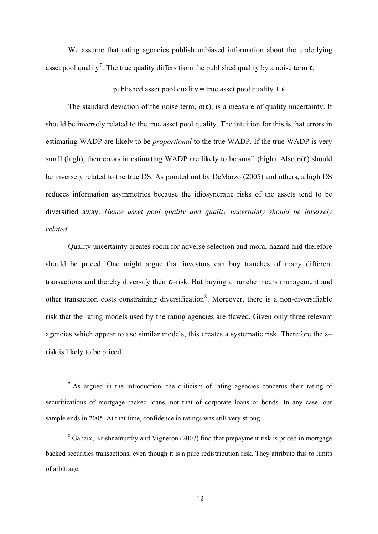<span id="page-13-0"></span>We assume that rating agencies publish unbiased information about the underlying asset pool quality<sup>[7](#page-13-0)</sup>. The true quality differs from the published quality by a noise term  $\varepsilon$ ,

published asset pool quality = true asset pool quality +  $\varepsilon$ .

The standard deviation of the noise term,  $\sigma(\varepsilon)$ , is a measure of quality uncertainty. It should be inversely related to the true asset pool quality. The intuition for this is that errors in estimating WADP are likely to be *proportional* to the true WADP. If the true WADP is very small (high), then errors in estimating WADP are likely to be small (high). Also  $\sigma(\epsilon)$  should be inversely related to the true DS. As pointed out by DeMarzo (2005) and others, a high DS reduces information asymmetries because the idiosyncratic risks of the assets tend to be diversified away. *Hence asset pool quality and quality uncertainty should be inversely related.* 

Quality uncertainty creates room for adverse selection and moral hazard and therefore should be priced. One might argue that investors can buy tranches of many different transactions and thereby diversify their ε–risk. But buying a tranche incurs management and other transaction costs constraining diversification<sup>[8](#page-13-0)</sup>. Moreover, there is a non-diversifiable risk that the rating models used by the rating agencies are flawed. Given only three relevant agencies which appear to use similar models, this creates a systematic risk. Therefore the  $\varepsilon$ risk is likely to be priced.

 $<sup>7</sup>$  As argued in the introduction, the criticism of rating agencies concerns their rating of</sup> securitizations of mortgage-backed loans, not that of corporate loans or bonds. In any case, our sample ends in 2005. At that time, confidence in ratings was still very strong.

1

<sup>8</sup> Gabaix, Krishnamurthy and Vigneron (2007) find that prepayment risk is priced in mortgage backed securities transactions, even though it is a pure redistribution risk. They attribute this to limits of arbitrage.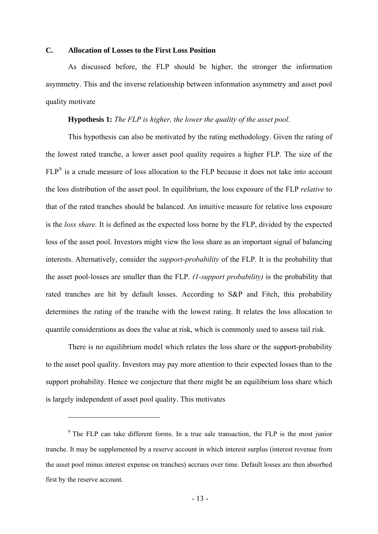#### <span id="page-14-0"></span>**C. Allocation of Losses to the First Loss Position**

As discussed before, the FLP should be higher, the stronger the information asymmetry. This and the inverse relationship between information asymmetry and asset pool quality motivate

#### **Hypothesis 1:** *The FLP is higher, the lower the quality of the asset pool.*

This hypothesis can also be motivated by the rating methodology. Given the rating of the lowest rated tranche, a lower asset pool quality requires a higher FLP. The size of the  $FLP<sup>9</sup>$  $FLP<sup>9</sup>$  $FLP<sup>9</sup>$  is a crude measure of loss allocation to the FLP because it does not take into account the loss distribution of the asset pool. In equilibrium, the loss exposure of the FLP *relative* to that of the rated tranches should be balanced. An intuitive measure for relative loss exposure is the *loss share.* It is defined as the expected loss borne by the FLP, divided by the expected loss of the asset pool. Investors might view the loss share as an important signal of balancing interests. Alternatively, consider the *support-probability* of the FLP*.* It is the probability that the asset pool-losses are smaller than the FLP. *(1-support probability)* is the probability that rated tranches are hit by default losses. According to S&P and Fitch, this probability determines the rating of the tranche with the lowest rating. It relates the loss allocation to quantile considerations as does the value at risk, which is commonly used to assess tail risk.

There is no equilibrium model which relates the loss share or the support-probability to the asset pool quality. Investors may pay more attention to their expected losses than to the support probability. Hence we conjecture that there might be an equilibrium loss share which is largely independent of asset pool quality. This motivates

1

 $9$  The FLP can take different forms. In a true sale transaction, the FLP is the most junior tranche. It may be supplemented by a reserve account in which interest surplus (interest revenue from the asset pool minus interest expense on tranches) accrues over time. Default losses are then absorbed first by the reserve account.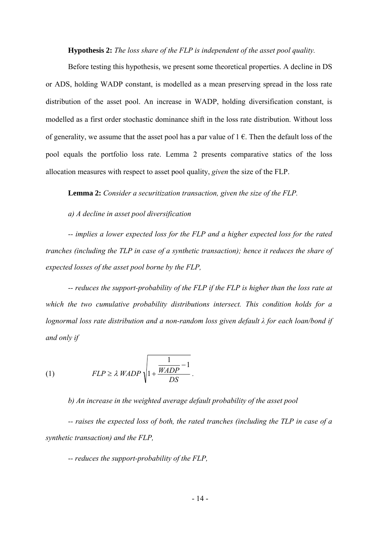**Hypothesis 2:** *The loss share of the FLP is independent of the asset pool quality.*

Before testing this hypothesis, we present some theoretical properties. A decline in DS or ADS, holding WADP constant, is modelled as a mean preserving spread in the loss rate distribution of the asset pool. An increase in WADP, holding diversification constant, is modelled as a first order stochastic dominance shift in the loss rate distribution. Without loss of generality, we assume that the asset pool has a par value of  $1 \in \mathbb{C}$ . Then the default loss of the pool equals the portfolio loss rate. Lemma 2 presents comparative statics of the loss allocation measures with respect to asset pool quality, *given* the size of the FLP.

**Lemma 2:** *Consider a securitization transaction, given the size of the FLP.* 

*a) A decline in asset pool diversification* 

*-- implies a lower expected loss for the FLP and a higher expected loss for the rated tranches (including the TLP in case of a synthetic transaction); hence it reduces the share of expected losses of the asset pool borne by the FLP,* 

*-- reduces the support-probability of the FLP if the FLP is higher than the loss rate at which the two cumulative probability distributions intersect. This condition holds for a lognormal loss rate distribution and a non-random loss given default λ for each loan/bond if and only if* 

(1) 
$$
FLP \ge \lambda WADP \sqrt{1 + \frac{\frac{1}{WADP} - 1}{DS}}
$$
.

*b) An increase in the weighted average default probability of the asset pool -- raises the expected loss of both, the rated tranches (including the TLP in case of a synthetic transaction) and the FLP,* 

*-- reduces the support-probability of the FLP,*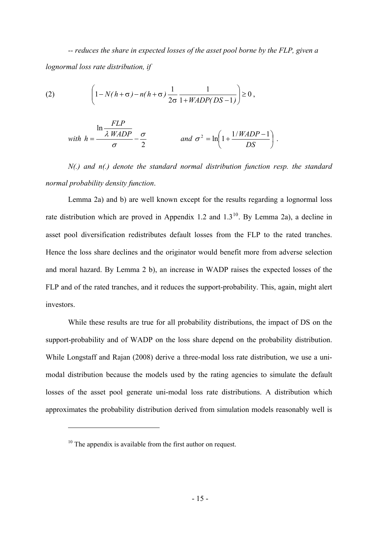<span id="page-16-0"></span>*-- reduces the share in expected losses of the asset pool borne by the FLP, given a lognormal loss rate distribution, if* 

(2) 
$$
\left(1 - N(h + \sigma) - n(h + \sigma) \frac{1}{2\sigma} \frac{1}{1 + WADP(DS - 1)}\right) \ge 0,
$$

*FLP*

with 
$$
h = \frac{\ln \frac{FLP}{\lambda \text{ WADP}}}{\sigma} - \frac{\sigma}{2}
$$
 and  $\sigma^2 = \ln \left( 1 + \frac{1/\text{WADP} - 1}{DS} \right)$ .

*N(.) and n(.) denote the standard normal distribution function resp. the standard normal probability density function*.

Lemma 2a) and b) are well known except for the results regarding a lognormal loss rate distribution which are proved in Appendix 1.2 and  $1.3^{10}$  $1.3^{10}$  $1.3^{10}$ . By Lemma 2a), a decline in asset pool diversification redistributes default losses from the FLP to the rated tranches. Hence the loss share declines and the originator would benefit more from adverse selection and moral hazard. By Lemma 2 b), an increase in WADP raises the expected losses of the FLP and of the rated tranches, and it reduces the support-probability. This, again, might alert investors.

While these results are true for all probability distributions, the impact of DS on the support-probability and of WADP on the loss share depend on the probability distribution. While Longstaff and Rajan (2008) derive a three-modal loss rate distribution, we use a unimodal distribution because the models used by the rating agencies to simulate the default losses of the asset pool generate uni-modal loss rate distributions. A distribution which approximates the probability distribution derived from simulation models reasonably well is

1

 $10$  The appendix is available from the first author on request.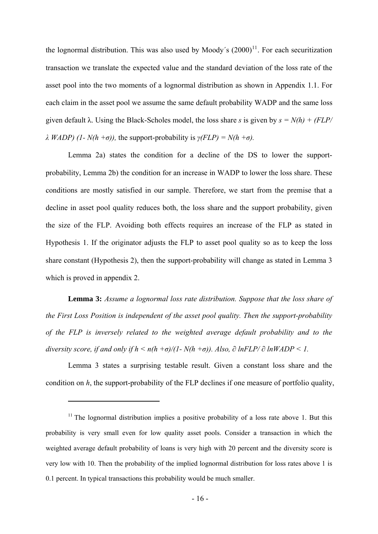<span id="page-17-0"></span>the lognormal distribution. This was also used by Moody's  $(2000)^{11}$  $(2000)^{11}$  $(2000)^{11}$ . For each securitization transaction we translate the expected value and the standard deviation of the loss rate of the asset pool into the two moments of a lognormal distribution as shown in Appendix 1.1. For each claim in the asset pool we assume the same default probability WADP and the same loss given default  $\lambda$ . Using the Black-Scholes model, the loss share *s* is given by  $s = N(h) + (FLP/h)$ *λ WADP) (1- N(h +σ)),* the support-probability is *γ(FLP) = N(h +σ).*

Lemma 2a) states the condition for a decline of the DS to lower the supportprobability, Lemma 2b) the condition for an increase in WADP to lower the loss share. These conditions are mostly satisfied in our sample. Therefore, we start from the premise that a decline in asset pool quality reduces both, the loss share and the support probability, given the size of the FLP. Avoiding both effects requires an increase of the FLP as stated in Hypothesis 1. If the originator adjusts the FLP to asset pool quality so as to keep the loss share constant (Hypothesis 2), then the support-probability will change as stated in Lemma 3 which is proved in appendix 2.

**Lemma 3:** *Assume a lognormal loss rate distribution. Suppose that the loss share of the First Loss Position is independent of the asset pool quality. Then the support-probability of the FLP is inversely related to the weighted average default probability and to the diversity score, if and only if*  $h \le n(h + \sigma)/(1 - N(h + \sigma))$ *. Also,*  $\partial \ln FLP / \partial \ln WADP \le 1$ *.* 

Lemma 3 states a surprising testable result. Given a constant loss share and the condition on *h*, the support-probability of the FLP declines if one measure of portfolio quality,

1

 $11$  The lognormal distribution implies a positive probability of a loss rate above 1. But this probability is very small even for low quality asset pools. Consider a transaction in which the weighted average default probability of loans is very high with 20 percent and the diversity score is very low with 10. Then the probability of the implied lognormal distribution for loss rates above 1 is 0.1 percent. In typical transactions this probability would be much smaller.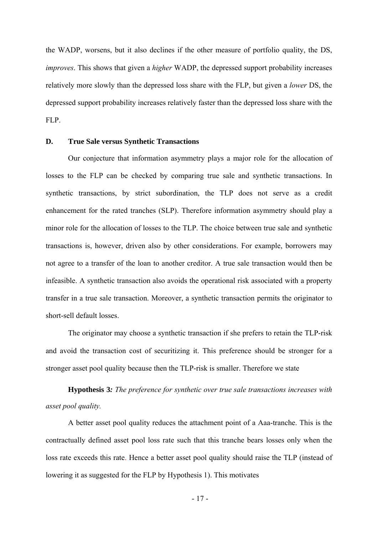the WADP, worsens, but it also declines if the other measure of portfolio quality, the DS, *improves*. This shows that given a *higher* WADP, the depressed support probability increases relatively more slowly than the depressed loss share with the FLP, but given a *lower* DS, the depressed support probability increases relatively faster than the depressed loss share with the FLP.

#### **D. True Sale versus Synthetic Transactions**

Our conjecture that information asymmetry plays a major role for the allocation of losses to the FLP can be checked by comparing true sale and synthetic transactions. In synthetic transactions, by strict subordination, the TLP does not serve as a credit enhancement for the rated tranches (SLP). Therefore information asymmetry should play a minor role for the allocation of losses to the TLP. The choice between true sale and synthetic transactions is, however, driven also by other considerations. For example, borrowers may not agree to a transfer of the loan to another creditor. A true sale transaction would then be infeasible. A synthetic transaction also avoids the operational risk associated with a property transfer in a true sale transaction. Moreover, a synthetic transaction permits the originator to short-sell default losses.

The originator may choose a synthetic transaction if she prefers to retain the TLP-risk and avoid the transaction cost of securitizing it. This preference should be stronger for a stronger asset pool quality because then the TLP-risk is smaller. Therefore we state

**Hypothesis 3***: The preference for synthetic over true sale transactions increases with asset pool quality.* 

A better asset pool quality reduces the attachment point of a Aaa-tranche. This is the contractually defined asset pool loss rate such that this tranche bears losses only when the loss rate exceeds this rate. Hence a better asset pool quality should raise the TLP (instead of lowering it as suggested for the FLP by Hypothesis 1). This motivates

- 17 -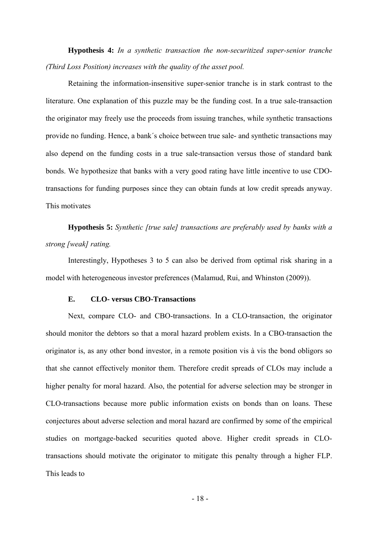**Hypothesis 4:** *In a synthetic transaction the non-securitized super-senior tranche (Third Loss Position) increases with the quality of the asset pool.* 

Retaining the information-insensitive super-senior tranche is in stark contrast to the literature. One explanation of this puzzle may be the funding cost. In a true sale-transaction the originator may freely use the proceeds from issuing tranches, while synthetic transactions provide no funding. Hence, a bank´s choice between true sale- and synthetic transactions may also depend on the funding costs in a true sale-transaction versus those of standard bank bonds. We hypothesize that banks with a very good rating have little incentive to use CDOtransactions for funding purposes since they can obtain funds at low credit spreads anyway. This motivates

**Hypothesis 5:** *Synthetic [true sale] transactions are preferably used by banks with a strong [weak] rating.* 

Interestingly, Hypotheses 3 to 5 can also be derived from optimal risk sharing in a model with heterogeneous investor preferences (Malamud, Rui, and Whinston (2009)).

#### **E. CLO- versus CBO-Transactions**

Next, compare CLO- and CBO-transactions. In a CLO-transaction, the originator should monitor the debtors so that a moral hazard problem exists. In a CBO-transaction the originator is, as any other bond investor, in a remote position vis à vis the bond obligors so that she cannot effectively monitor them. Therefore credit spreads of CLOs may include a higher penalty for moral hazard. Also, the potential for adverse selection may be stronger in CLO-transactions because more public information exists on bonds than on loans. These conjectures about adverse selection and moral hazard are confirmed by some of the empirical studies on mortgage-backed securities quoted above. Higher credit spreads in CLOtransactions should motivate the originator to mitigate this penalty through a higher FLP. This leads to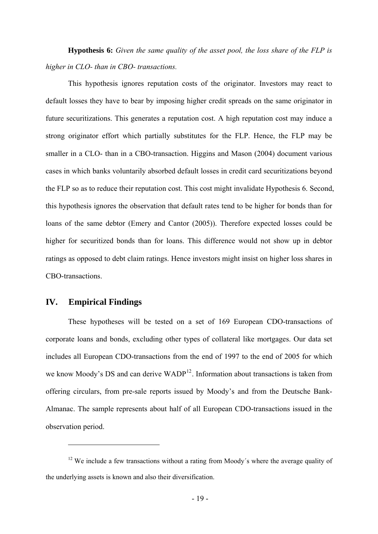<span id="page-20-0"></span>**Hypothesis 6:** *Given the same quality of the asset pool, the loss share of the FLP is higher in CLO- than in CBO- transactions.* 

This hypothesis ignores reputation costs of the originator. Investors may react to default losses they have to bear by imposing higher credit spreads on the same originator in future securitizations. This generates a reputation cost. A high reputation cost may induce a strong originator effort which partially substitutes for the FLP. Hence, the FLP may be smaller in a CLO- than in a CBO-transaction. Higgins and Mason (2004) document various cases in which banks voluntarily absorbed default losses in credit card securitizations beyond the FLP so as to reduce their reputation cost. This cost might invalidate Hypothesis 6. Second, this hypothesis ignores the observation that default rates tend to be higher for bonds than for loans of the same debtor (Emery and Cantor (2005)). Therefore expected losses could be higher for securitized bonds than for loans. This difference would not show up in debtor ratings as opposed to debt claim ratings. Hence investors might insist on higher loss shares in CBO-transactions.

#### **IV. Empirical Findings**

<u>.</u>

These hypotheses will be tested on a set of 169 European CDO-transactions of corporate loans and bonds, excluding other types of collateral like mortgages. Our data set includes all European CDO-transactions from the end of 1997 to the end of 2005 for which we know Moody's DS and can derive  $WADP<sup>12</sup>$  $WADP<sup>12</sup>$  $WADP<sup>12</sup>$ . Information about transactions is taken from offering circulars, from pre-sale reports issued by Moody's and from the Deutsche Bank-Almanac. The sample represents about half of all European CDO-transactions issued in the observation period.

<sup>&</sup>lt;sup>12</sup> We include a few transactions without a rating from Moody's where the average quality of the underlying assets is known and also their diversification.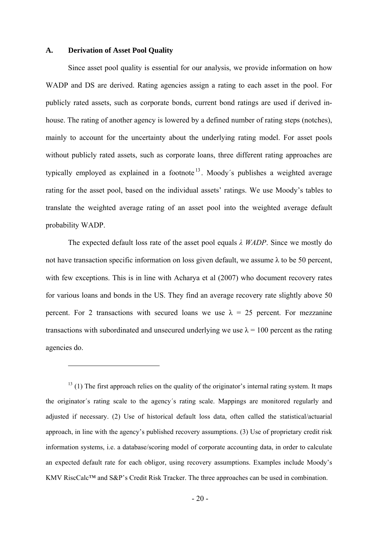#### <span id="page-21-0"></span>**A. Derivation of Asset Pool Quality**

1

Since asset pool quality is essential for our analysis, we provide information on how WADP and DS are derived. Rating agencies assign a rating to each asset in the pool. For publicly rated assets, such as corporate bonds, current bond ratings are used if derived inhouse. The rating of another agency is lowered by a defined number of rating steps (notches), mainly to account for the uncertainty about the underlying rating model. For asset pools without publicly rated assets, such as corporate loans, three different rating approaches are typically employed as explained in a footnote<sup>[13](#page-21-0)</sup>. Moody's publishes a weighted average rating for the asset pool, based on the individual assets' ratings. We use Moody's tables to translate the weighted average rating of an asset pool into the weighted average default probability WADP.

The expected default loss rate of the asset pool equals *λ WADP*. Since we mostly do not have transaction specific information on loss given default, we assume λ to be 50 percent, with few exceptions. This is in line with Acharya et al  $(2007)$  who document recovery rates for various loans and bonds in the US. They find an average recovery rate slightly above 50 percent. For 2 transactions with secured loans we use  $\lambda = 25$  percent. For mezzanine transactions with subordinated and unsecured underlying we use  $\lambda = 100$  percent as the rating agencies do.

 $13$  (1) The first approach relies on the quality of the originator's internal rating system. It maps the originator´s rating scale to the agency´s rating scale. Mappings are monitored regularly and adjusted if necessary. (2) Use of historical default loss data, often called the statistical/actuarial approach, in line with the agency's published recovery assumptions. (3) Use of proprietary credit risk information systems, i.e. a database/scoring model of corporate accounting data, in order to calculate an expected default rate for each obligor, using recovery assumptions. Examples include Moody's KMV RiscCalc™ and S&P's Credit Risk Tracker. The three approaches can be used in combination.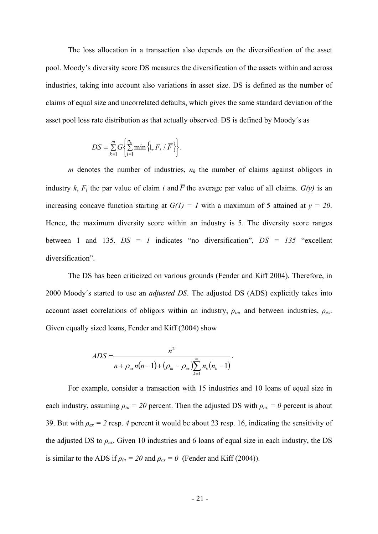The loss allocation in a transaction also depends on the diversification of the asset pool. Moody's diversity score DS measures the diversification of the assets within and across industries, taking into account also variations in asset size. DS is defined as the number of claims of equal size and uncorrelated defaults, which gives the same standard deviation of the asset pool loss rate distribution as that actually observed. DS is defined by Moody´s as

$$
DS = \sum_{k=1}^{m} G\left\{\sum_{i=1}^{n_k} \min\left\{1, F_i / \overline{F}\right\}\right\}.
$$

*m* denotes the number of industries,  $n_k$  the number of claims against obligors in industry *k*,  $F_i$  the par value of claim *i* and  $\overline{F}$  the average par value of all claims.  $G(y)$  is an increasing concave function starting at  $G(1) = 1$  with a maximum of 5 attained at  $y = 20$ . Hence, the maximum diversity score within an industry is 5. The diversity score ranges between 1 and 135. *DS = 1* indicates "no diversification", *DS = 135* "excellent diversification".

The DS has been criticized on various grounds (Fender and Kiff 2004). Therefore, in 2000 Moody´s started to use an *adjusted DS*. The adjusted DS (ADS) explicitly takes into account asset correlations of obligors within an industry, *ρin,* and between industries, *ρex*. Given equally sized loans, Fender and Kiff (2004) show

$$
ADS = \frac{n^2}{n + \rho_{ex} n(n-1) + (\rho_{in} - \rho_{ex}) \sum_{k=1}^{m} n_k(n_k-1)}.
$$

For example, consider a transaction with 15 industries and 10 loans of equal size in each industry, assuming  $\rho_{in} = 20$  percent. Then the adjusted DS with  $\rho_{ex} = 0$  percent is about 39. But with  $\rho_{ex} = 2$  resp. 4 percent it would be about 23 resp. 16, indicating the sensitivity of the adjusted DS to  $\rho_{ex}$ . Given 10 industries and 6 loans of equal size in each industry, the DS is similar to the ADS if  $\rho_{in} = 20$  and  $\rho_{ex} = 0$  (Fender and Kiff (2004)).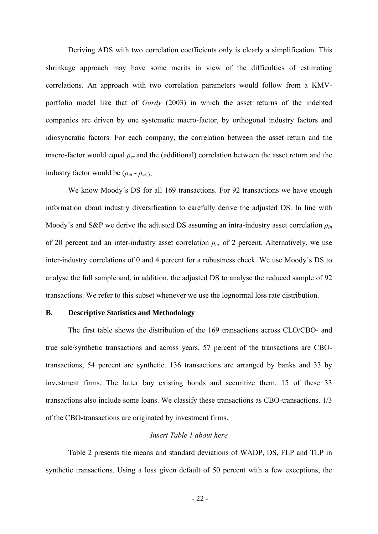Deriving ADS with two correlation coefficients only is clearly a simplification. This shrinkage approach may have some merits in view of the difficulties of estimating correlations. An approach with two correlation parameters would follow from a KMVportfolio model like that of *Gordy* (2003) in which the asset returns of the indebted companies are driven by one systematic macro-factor, by orthogonal industry factors and idiosyncratic factors. For each company, the correlation between the asset return and the macro-factor would equal *ρex* and the (additional) correlation between the asset return and the industry factor would be  $(\rho_{in} - \rho_{ex})$ .

We know Moody's DS for all 169 transactions. For 92 transactions we have enough information about industry diversification to carefully derive the adjusted DS. In line with Moody´s and S&P we derive the adjusted DS assuming an intra-industry asset correlation *ρin* of 20 percent and an inter-industry asset correlation *ρex* of 2 percent. Alternatively, we use inter-industry correlations of 0 and 4 percent for a robustness check. We use Moody´s DS to analyse the full sample and, in addition, the adjusted DS to analyse the reduced sample of 92 transactions. We refer to this subset whenever we use the lognormal loss rate distribution.

#### **B. Descriptive Statistics and Methodology**

The first table shows the distribution of the 169 transactions across CLO/CBO- and true sale/synthetic transactions and across years. 57 percent of the transactions are CBOtransactions, 54 percent are synthetic. 136 transactions are arranged by banks and 33 by investment firms. The latter buy existing bonds and securitize them. 15 of these 33 transactions also include some loans. We classify these transactions as CBO-transactions. 1/3 of the CBO-transactions are originated by investment firms.

#### *Insert Table 1 about here*

Table 2 presents the means and standard deviations of WADP, DS, FLP and TLP in synthetic transactions. Using a loss given default of 50 percent with a few exceptions, the

- 22 -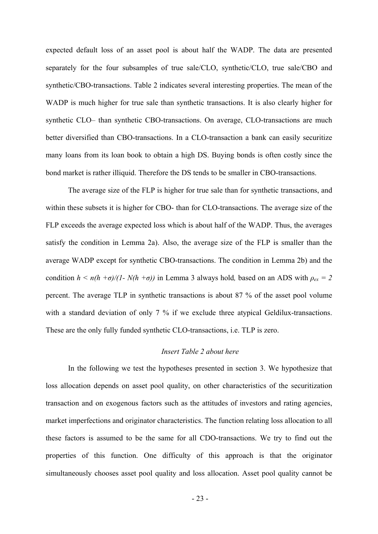expected default loss of an asset pool is about half the WADP. The data are presented separately for the four subsamples of true sale/CLO, synthetic/CLO, true sale/CBO and synthetic/CBO-transactions. Table 2 indicates several interesting properties. The mean of the WADP is much higher for true sale than synthetic transactions. It is also clearly higher for synthetic CLO– than synthetic CBO-transactions. On average, CLO-transactions are much better diversified than CBO-transactions. In a CLO-transaction a bank can easily securitize many loans from its loan book to obtain a high DS. Buying bonds is often costly since the bond market is rather illiquid. Therefore the DS tends to be smaller in CBO-transactions.

The average size of the FLP is higher for true sale than for synthetic transactions, and within these subsets it is higher for CBO- than for CLO-transactions. The average size of the FLP exceeds the average expected loss which is about half of the WADP. Thus, the averages satisfy the condition in Lemma 2a). Also, the average size of the FLP is smaller than the average WADP except for synthetic CBO-transactions. The condition in Lemma 2b) and the condition  $h \le n(h + \sigma)/(1 - N(h + \sigma))$  in Lemma 3 always hold, based on an ADS with  $\rho_{ex} = 2$ percent. The average TLP in synthetic transactions is about 87 % of the asset pool volume with a standard deviation of only 7 % if we exclude three atypical Geldilux-transactions. These are the only fully funded synthetic CLO-transactions, i.e. TLP is zero.

#### *Insert Table 2 about here*

In the following we test the hypotheses presented in section 3. We hypothesize that loss allocation depends on asset pool quality, on other characteristics of the securitization transaction and on exogenous factors such as the attitudes of investors and rating agencies, market imperfections and originator characteristics. The function relating loss allocation to all these factors is assumed to be the same for all CDO-transactions. We try to find out the properties of this function. One difficulty of this approach is that the originator simultaneously chooses asset pool quality and loss allocation. Asset pool quality cannot be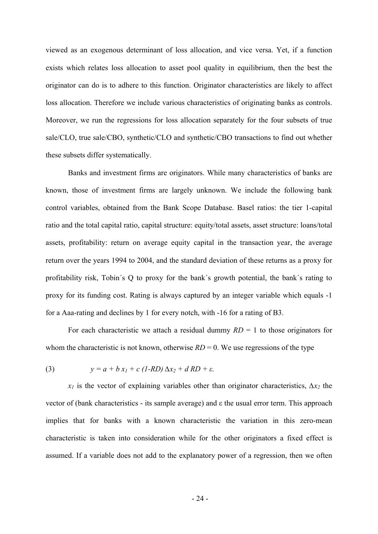viewed as an exogenous determinant of loss allocation, and vice versa. Yet, if a function exists which relates loss allocation to asset pool quality in equilibrium, then the best the originator can do is to adhere to this function. Originator characteristics are likely to affect loss allocation. Therefore we include various characteristics of originating banks as controls. Moreover, we run the regressions for loss allocation separately for the four subsets of true sale/CLO, true sale/CBO, synthetic/CLO and synthetic/CBO transactions to find out whether these subsets differ systematically.

Banks and investment firms are originators. While many characteristics of banks are known, those of investment firms are largely unknown. We include the following bank control variables, obtained from the Bank Scope Database. Basel ratios: the tier 1-capital ratio and the total capital ratio, capital structure: equity/total assets, asset structure: loans/total assets, profitability: return on average equity capital in the transaction year, the average return over the years 1994 to 2004, and the standard deviation of these returns as a proxy for profitability risk, Tobin´s Q to proxy for the bank´s growth potential, the bank´s rating to proxy for its funding cost. Rating is always captured by an integer variable which equals -1 for a Aaa-rating and declines by 1 for every notch, with -16 for a rating of B3.

For each characteristic we attach a residual dummy  $RD = 1$  to those originators for whom the characteristic is not known, otherwise  $RD = 0$ . We use regressions of the type

(3) 
$$
y = a + b x_1 + c (1-RD) \Delta x_2 + d R D + \varepsilon.
$$

 $x_1$  is the vector of explaining variables other than originator characteristics,  $\Delta x_2$  the vector of (bank characteristics - its sample average) and ε the usual error term. This approach implies that for banks with a known characteristic the variation in this zero-mean characteristic is taken into consideration while for the other originators a fixed effect is assumed. If a variable does not add to the explanatory power of a regression, then we often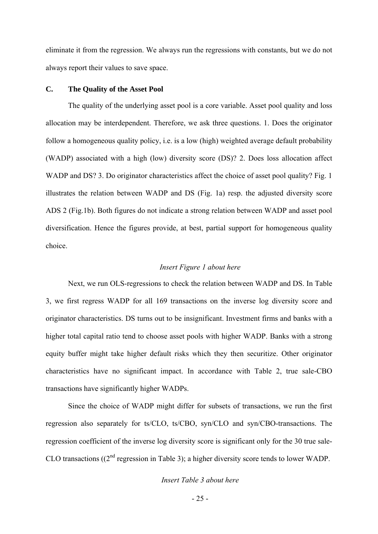eliminate it from the regression. We always run the regressions with constants, but we do not always report their values to save space.

#### **C. The Quality of the Asset Pool**

The quality of the underlying asset pool is a core variable. Asset pool quality and loss allocation may be interdependent. Therefore, we ask three questions. 1. Does the originator follow a homogeneous quality policy, i.e. is a low (high) weighted average default probability (WADP) associated with a high (low) diversity score (DS)? 2. Does loss allocation affect WADP and DS? 3. Do originator characteristics affect the choice of asset pool quality? Fig. 1 illustrates the relation between WADP and DS (Fig. 1a) resp. the adjusted diversity score ADS 2 (Fig.1b). Both figures do not indicate a strong relation between WADP and asset pool diversification. Hence the figures provide, at best, partial support for homogeneous quality choice.

#### *Insert Figure 1 about here*

Next, we run OLS-regressions to check the relation between WADP and DS. In Table 3, we first regress WADP for all 169 transactions on the inverse log diversity score and originator characteristics. DS turns out to be insignificant. Investment firms and banks with a higher total capital ratio tend to choose asset pools with higher WADP. Banks with a strong equity buffer might take higher default risks which they then securitize. Other originator characteristics have no significant impact. In accordance with Table 2, true sale-CBO transactions have significantly higher WADPs.

Since the choice of WADP might differ for subsets of transactions, we run the first regression also separately for ts/CLO, ts/CBO, syn/CLO and syn/CBO-transactions. The regression coefficient of the inverse log diversity score is significant only for the 30 true sale-CLO transactions ((2nd regression in Table 3); a higher diversity score tends to lower WADP.

#### *Insert Table 3 about here*

- 25 -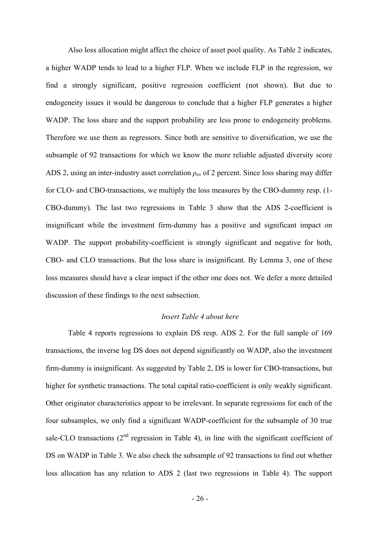Also loss allocation might affect the choice of asset pool quality. As Table 2 indicates, a higher WADP tends to lead to a higher FLP. When we include FLP in the regression, we find a strongly significant, positive regression coefficient (not shown). But due to endogeneity issues it would be dangerous to conclude that a higher FLP generates a higher WADP. The loss share and the support probability are less prone to endogeneity problems. Therefore we use them as regressors. Since both are sensitive to diversification, we use the subsample of 92 transactions for which we know the more reliable adjusted diversity score ADS 2, using an inter-industry asset correlation *ρex* of 2 percent. Since loss sharing may differ for CLO- and CBO-transactions, we multiply the loss measures by the CBO-dummy resp. (1- CBO-dummy). The last two regressions in Table 3 show that the ADS 2-coefficient is insignificant while the investment firm-dummy has a positive and significant impact on WADP. The support probability-coefficient is strongly significant and negative for both, CBO- and CLO transactions. But the loss share is insignificant. By Lemma 3, one of these loss measures should have a clear impact if the other one does not. We defer a more detailed discussion of these findings to the next subsection.

#### *Insert Table 4 about here*

Table 4 reports regressions to explain DS resp. ADS 2. For the full sample of 169 transactions, the inverse log DS does not depend significantly on WADP, also the investment firm-dummy is insignificant. As suggested by Table 2, DS is lower for CBO-transactions, but higher for synthetic transactions. The total capital ratio-coefficient is only weakly significant. Other originator characteristics appear to be irrelevant. In separate regressions for each of the four subsamples, we only find a significant WADP-coefficient for the subsample of 30 true sale-CLO transactions (2<sup>nd</sup> regression in Table 4), in line with the significant coefficient of DS on WADP in Table 3. We also check the subsample of 92 transactions to find out whether loss allocation has any relation to ADS 2 (last two regressions in Table 4). The support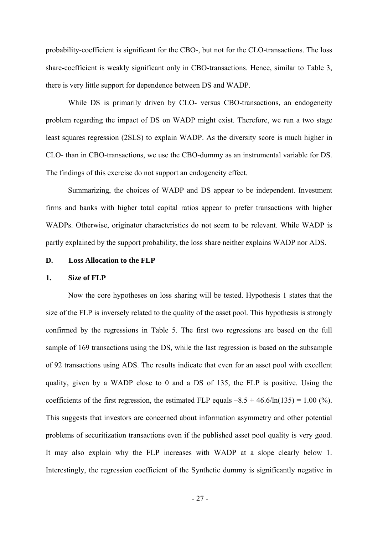probability-coefficient is significant for the CBO-, but not for the CLO-transactions. The loss share-coefficient is weakly significant only in CBO-transactions. Hence, similar to Table 3, there is very little support for dependence between DS and WADP.

While DS is primarily driven by CLO- versus CBO-transactions, an endogeneity problem regarding the impact of DS on WADP might exist. Therefore, we run a two stage least squares regression (2SLS) to explain WADP. As the diversity score is much higher in CLO- than in CBO-transactions, we use the CBO-dummy as an instrumental variable for DS. The findings of this exercise do not support an endogeneity effect.

Summarizing, the choices of WADP and DS appear to be independent. Investment firms and banks with higher total capital ratios appear to prefer transactions with higher WADPs. Otherwise, originator characteristics do not seem to be relevant. While WADP is partly explained by the support probability, the loss share neither explains WADP nor ADS.

#### **D. Loss Allocation to the FLP**

#### **1. Size of FLP**

Now the core hypotheses on loss sharing will be tested. Hypothesis 1 states that the size of the FLP is inversely related to the quality of the asset pool. This hypothesis is strongly confirmed by the regressions in Table 5. The first two regressions are based on the full sample of 169 transactions using the DS, while the last regression is based on the subsample of 92 transactions using ADS. The results indicate that even for an asset pool with excellent quality, given by a WADP close to 0 and a DS of 135, the FLP is positive. Using the coefficients of the first regression, the estimated FLP equals  $-8.5 + 46.6/\ln(135) = 1.00\,(%)$ . This suggests that investors are concerned about information asymmetry and other potential problems of securitization transactions even if the published asset pool quality is very good. It may also explain why the FLP increases with WADP at a slope clearly below 1. Interestingly, the regression coefficient of the Synthetic dummy is significantly negative in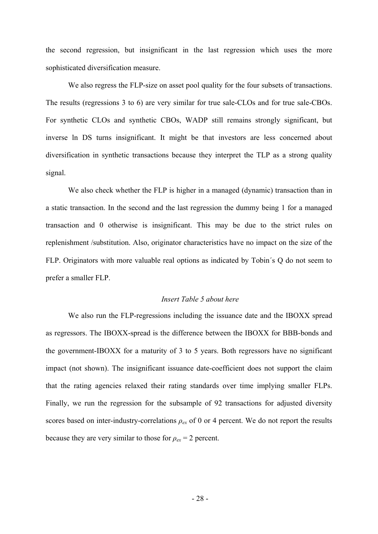the second regression, but insignificant in the last regression which uses the more sophisticated diversification measure.

We also regress the FLP-size on asset pool quality for the four subsets of transactions. The results (regressions 3 to 6) are very similar for true sale-CLOs and for true sale-CBOs. For synthetic CLOs and synthetic CBOs, WADP still remains strongly significant, but inverse ln DS turns insignificant. It might be that investors are less concerned about diversification in synthetic transactions because they interpret the TLP as a strong quality signal.

We also check whether the FLP is higher in a managed (dynamic) transaction than in a static transaction. In the second and the last regression the dummy being 1 for a managed transaction and 0 otherwise is insignificant. This may be due to the strict rules on replenishment /substitution. Also, originator characteristics have no impact on the size of the FLP. Originators with more valuable real options as indicated by Tobin´s Q do not seem to prefer a smaller FLP.

#### *Insert Table 5 about here*

We also run the FLP-regressions including the issuance date and the IBOXX spread as regressors. The IBOXX-spread is the difference between the IBOXX for BBB-bonds and the government-IBOXX for a maturity of 3 to 5 years. Both regressors have no significant impact (not shown). The insignificant issuance date-coefficient does not support the claim that the rating agencies relaxed their rating standards over time implying smaller FLPs. Finally, we run the regression for the subsample of 92 transactions for adjusted diversity scores based on inter-industry-correlations  $\rho_{ex}$  of 0 or 4 percent. We do not report the results because they are very similar to those for  $\rho_{ex} = 2$  percent.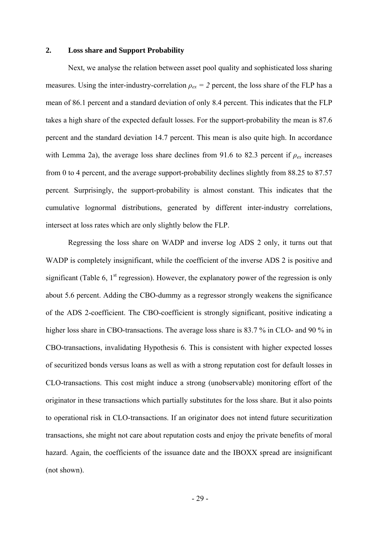#### **2. Loss share and Support Probability**

Next, we analyse the relation between asset pool quality and sophisticated loss sharing measures. Using the inter-industry-correlation  $\rho_{ex} = 2$  percent, the loss share of the FLP has a mean of 86.1 percent and a standard deviation of only 8.4 percent. This indicates that the FLP takes a high share of the expected default losses. For the support-probability the mean is 87.6 percent and the standard deviation 14.7 percent. This mean is also quite high. In accordance with Lemma 2a), the average loss share declines from 91.6 to 82.3 percent if  $\rho_{ex}$  increases from 0 to 4 percent, and the average support-probability declines slightly from 88.25 to 87.57 percent*.* Surprisingly, the support-probability is almost constant. This indicates that the cumulative lognormal distributions, generated by different inter-industry correlations, intersect at loss rates which are only slightly below the FLP.

Regressing the loss share on WADP and inverse log ADS 2 only, it turns out that WADP is completely insignificant, while the coefficient of the inverse ADS 2 is positive and significant (Table 6,  $1<sup>st</sup>$  regression). However, the explanatory power of the regression is only about 5.6 percent. Adding the CBO-dummy as a regressor strongly weakens the significance of the ADS 2-coefficient. The CBO-coefficient is strongly significant, positive indicating a higher loss share in CBO-transactions. The average loss share is 83.7 % in CLO- and 90 % in CBO-transactions, invalidating Hypothesis 6. This is consistent with higher expected losses of securitized bonds versus loans as well as with a strong reputation cost for default losses in CLO-transactions. This cost might induce a strong (unobservable) monitoring effort of the originator in these transactions which partially substitutes for the loss share. But it also points to operational risk in CLO-transactions. If an originator does not intend future securitization transactions, she might not care about reputation costs and enjoy the private benefits of moral hazard. Again, the coefficients of the issuance date and the IBOXX spread are insignificant (not shown).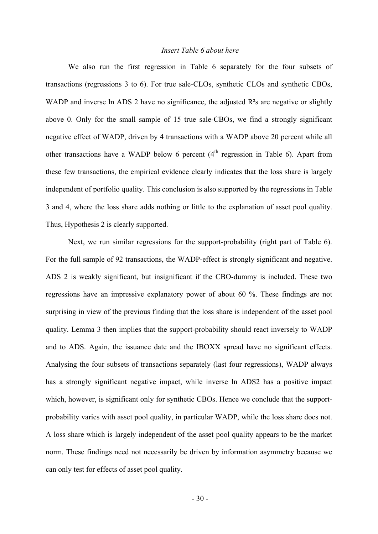#### *Insert Table 6 about here*

We also run the first regression in Table 6 separately for the four subsets of transactions (regressions 3 to 6). For true sale-CLOs, synthetic CLOs and synthetic CBOs, WADP and inverse ln ADS 2 have no significance, the adjusted R<sup>2</sup>s are negative or slightly above 0. Only for the small sample of 15 true sale-CBOs, we find a strongly significant negative effect of WADP, driven by 4 transactions with a WADP above 20 percent while all other transactions have a WADP below 6 percent  $(4<sup>th</sup>$  regression in Table 6). Apart from these few transactions, the empirical evidence clearly indicates that the loss share is largely independent of portfolio quality. This conclusion is also supported by the regressions in Table 3 and 4, where the loss share adds nothing or little to the explanation of asset pool quality. Thus, Hypothesis 2 is clearly supported.

Next, we run similar regressions for the support-probability (right part of Table 6). For the full sample of 92 transactions, the WADP-effect is strongly significant and negative. ADS 2 is weakly significant, but insignificant if the CBO-dummy is included. These two regressions have an impressive explanatory power of about 60 %. These findings are not surprising in view of the previous finding that the loss share is independent of the asset pool quality. Lemma 3 then implies that the support-probability should react inversely to WADP and to ADS. Again, the issuance date and the IBOXX spread have no significant effects. Analysing the four subsets of transactions separately (last four regressions), WADP always has a strongly significant negative impact, while inverse ln ADS2 has a positive impact which, however, is significant only for synthetic CBOs. Hence we conclude that the supportprobability varies with asset pool quality, in particular WADP, while the loss share does not. A loss share which is largely independent of the asset pool quality appears to be the market norm. These findings need not necessarily be driven by information asymmetry because we can only test for effects of asset pool quality.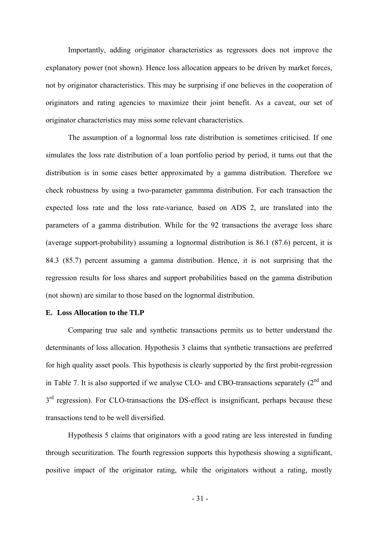Importantly, adding originator characteristics as regressors does not improve the explanatory power (not shown). Hence loss allocation appears to be driven by market forces, not by originator characteristics. This may be surprising if one believes in the cooperation of originators and rating agencies to maximize their joint benefit. As a caveat, our set of originator characteristics may miss some relevant characteristics.

The assumption of a lognormal loss rate distribution is sometimes criticised. If one simulates the loss rate distribution of a loan portfolio period by period, it turns out that the distribution is in some cases better approximated by a gamma distribution. Therefore we check robustness by using a two-parameter gammma distribution. For each transaction the expected loss rate and the loss rate-variance*,* based on ADS 2, are translated into the parameters of a gamma distribution. While for the 92 transactions the average loss share (average support-probability) assuming a lognormal distribution is 86.1 (87.6) percent, it is 84.3 (85.7) percent assuming a gamma distribution. Hence, it is not surprising that the regression results for loss shares and support probabilities based on the gamma distribution (not shown) are similar to those based on the lognormal distribution.

#### **E. Loss Allocation to the TLP**

Comparing true sale and synthetic transactions permits us to better understand the determinants of loss allocation. Hypothesis 3 claims that synthetic transactions are preferred for high quality asset pools. This hypothesis is clearly supported by the first probit-regression in Table 7. It is also supported if we analyse CLO- and CBO-transactions separately  $(2^{nd}$  and  $3<sup>rd</sup>$  regression). For CLO-transactions the DS-effect is insignificant, perhaps because these transactions tend to be well diversified.

Hypothesis 5 claims that originators with a good rating are less interested in funding through securitization. The fourth regression supports this hypothesis showing a significant, positive impact of the originator rating, while the originators without a rating, mostly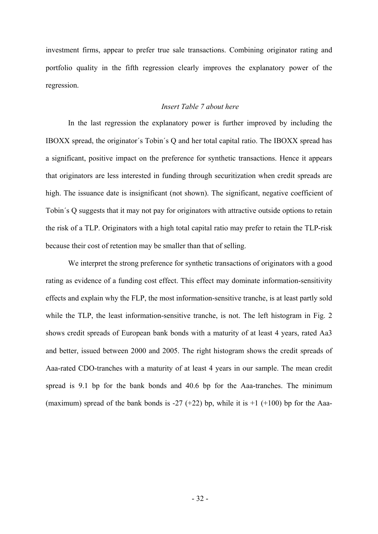investment firms, appear to prefer true sale transactions. Combining originator rating and portfolio quality in the fifth regression clearly improves the explanatory power of the regression.

#### *Insert Table 7 about here*

In the last regression the explanatory power is further improved by including the IBOXX spread, the originator´s Tobin´s Q and her total capital ratio. The IBOXX spread has a significant, positive impact on the preference for synthetic transactions. Hence it appears that originators are less interested in funding through securitization when credit spreads are high. The issuance date is insignificant (not shown). The significant, negative coefficient of Tobin´s Q suggests that it may not pay for originators with attractive outside options to retain the risk of a TLP. Originators with a high total capital ratio may prefer to retain the TLP-risk because their cost of retention may be smaller than that of selling.

We interpret the strong preference for synthetic transactions of originators with a good rating as evidence of a funding cost effect. This effect may dominate information-sensitivity effects and explain why the FLP, the most information-sensitive tranche, is at least partly sold while the TLP, the least information-sensitive tranche, is not. The left histogram in Fig. 2 shows credit spreads of European bank bonds with a maturity of at least 4 years, rated Aa3 and better, issued between 2000 and 2005. The right histogram shows the credit spreads of Aaa-rated CDO-tranches with a maturity of at least 4 years in our sample. The mean credit spread is 9.1 bp for the bank bonds and 40.6 bp for the Aaa-tranches. The minimum (maximum) spread of the bank bonds is -27 (+22) bp, while it is  $+1$  (+100) bp for the Aaa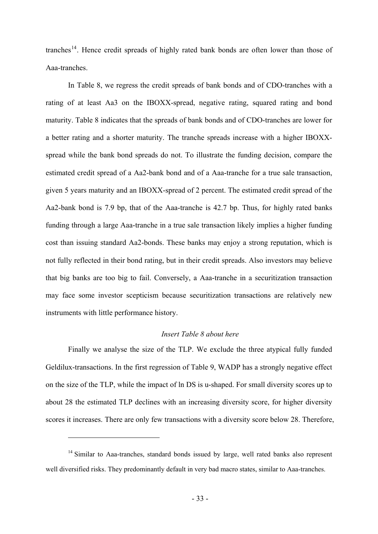<span id="page-34-0"></span>tranches<sup>[14](#page-34-0)</sup>. Hence credit spreads of highly rated bank bonds are often lower than those of Aaa-tranches.

In Table 8, we regress the credit spreads of bank bonds and of CDO-tranches with a rating of at least Aa3 on the IBOXX-spread, negative rating, squared rating and bond maturity. Table 8 indicates that the spreads of bank bonds and of CDO-tranches are lower for a better rating and a shorter maturity. The tranche spreads increase with a higher IBOXXspread while the bank bond spreads do not. To illustrate the funding decision, compare the estimated credit spread of a Aa2-bank bond and of a Aaa-tranche for a true sale transaction, given 5 years maturity and an IBOXX-spread of 2 percent. The estimated credit spread of the Aa2-bank bond is 7.9 bp, that of the Aaa-tranche is 42.7 bp. Thus, for highly rated banks funding through a large Aaa-tranche in a true sale transaction likely implies a higher funding cost than issuing standard Aa2-bonds. These banks may enjoy a strong reputation, which is not fully reflected in their bond rating, but in their credit spreads. Also investors may believe that big banks are too big to fail. Conversely, a Aaa-tranche in a securitization transaction may face some investor scepticism because securitization transactions are relatively new instruments with little performance history.

#### *Insert Table 8 about here*

Finally we analyse the size of the TLP. We exclude the three atypical fully funded Geldilux-transactions. In the first regression of Table 9, WADP has a strongly negative effect on the size of the TLP, while the impact of ln DS is u-shaped. For small diversity scores up to about 28 the estimated TLP declines with an increasing diversity score, for higher diversity scores it increases. There are only few transactions with a diversity score below 28. Therefore,

1

 $14$  Similar to Aaa-tranches, standard bonds issued by large, well rated banks also represent well diversified risks. They predominantly default in very bad macro states, similar to Aaa-tranches.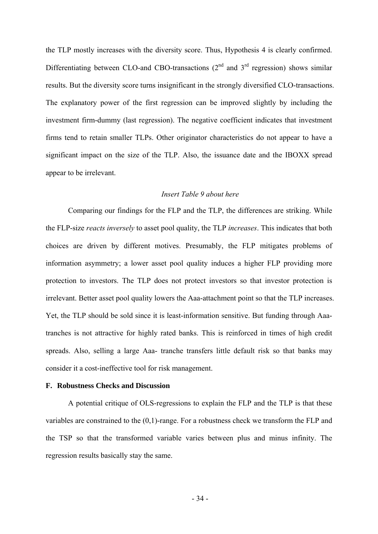the TLP mostly increases with the diversity score. Thus, Hypothesis 4 is clearly confirmed. Differentiating between CLO-and CBO-transactions  $(2<sup>nd</sup>$  and  $3<sup>rd</sup>$  regression) shows similar results. But the diversity score turns insignificant in the strongly diversified CLO-transactions. The explanatory power of the first regression can be improved slightly by including the investment firm-dummy (last regression). The negative coefficient indicates that investment firms tend to retain smaller TLPs. Other originator characteristics do not appear to have a significant impact on the size of the TLP. Also, the issuance date and the IBOXX spread appear to be irrelevant.

#### *Insert Table 9 about here*

Comparing our findings for the FLP and the TLP, the differences are striking. While the FLP-size *reacts inversely* to asset pool quality, the TLP *increases*. This indicates that both choices are driven by different motives. Presumably, the FLP mitigates problems of information asymmetry; a lower asset pool quality induces a higher FLP providing more protection to investors. The TLP does not protect investors so that investor protection is irrelevant. Better asset pool quality lowers the Aaa-attachment point so that the TLP increases. Yet, the TLP should be sold since it is least-information sensitive. But funding through Aaatranches is not attractive for highly rated banks. This is reinforced in times of high credit spreads. Also, selling a large Aaa- tranche transfers little default risk so that banks may consider it a cost-ineffective tool for risk management.

#### **F. Robustness Checks and Discussion**

A potential critique of OLS-regressions to explain the FLP and the TLP is that these variables are constrained to the (0,1)-range. For a robustness check we transform the FLP and the TSP so that the transformed variable varies between plus and minus infinity. The regression results basically stay the same.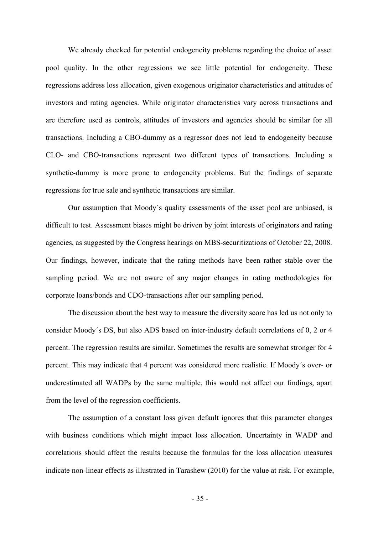We already checked for potential endogeneity problems regarding the choice of asset pool quality. In the other regressions we see little potential for endogeneity. These regressions address loss allocation, given exogenous originator characteristics and attitudes of investors and rating agencies. While originator characteristics vary across transactions and are therefore used as controls, attitudes of investors and agencies should be similar for all transactions. Including a CBO-dummy as a regressor does not lead to endogeneity because CLO- and CBO-transactions represent two different types of transactions. Including a synthetic-dummy is more prone to endogeneity problems. But the findings of separate regressions for true sale and synthetic transactions are similar.

Our assumption that Moody´s quality assessments of the asset pool are unbiased, is difficult to test. Assessment biases might be driven by joint interests of originators and rating agencies, as suggested by the Congress hearings on MBS-securitizations of October 22, 2008. Our findings, however, indicate that the rating methods have been rather stable over the sampling period. We are not aware of any major changes in rating methodologies for corporate loans/bonds and CDO-transactions after our sampling period.

The discussion about the best way to measure the diversity score has led us not only to consider Moody´s DS, but also ADS based on inter-industry default correlations of 0, 2 or 4 percent. The regression results are similar. Sometimes the results are somewhat stronger for 4 percent. This may indicate that 4 percent was considered more realistic. If Moody´s over- or underestimated all WADPs by the same multiple, this would not affect our findings, apart from the level of the regression coefficients.

The assumption of a constant loss given default ignores that this parameter changes with business conditions which might impact loss allocation. Uncertainty in WADP and correlations should affect the results because the formulas for the loss allocation measures indicate non-linear effects as illustrated in Tarashew (2010) for the value at risk. For example,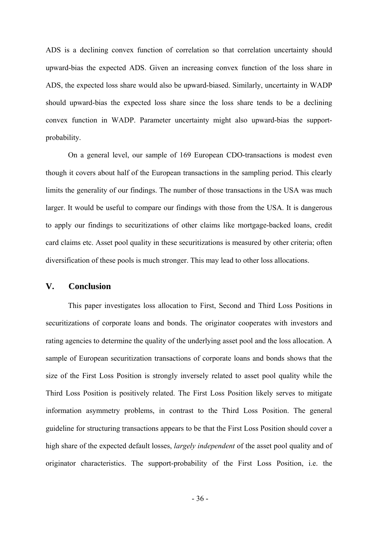ADS is a declining convex function of correlation so that correlation uncertainty should upward-bias the expected ADS. Given an increasing convex function of the loss share in ADS, the expected loss share would also be upward-biased. Similarly, uncertainty in WADP should upward-bias the expected loss share since the loss share tends to be a declining convex function in WADP. Parameter uncertainty might also upward-bias the supportprobability.

On a general level, our sample of 169 European CDO-transactions is modest even though it covers about half of the European transactions in the sampling period. This clearly limits the generality of our findings. The number of those transactions in the USA was much larger. It would be useful to compare our findings with those from the USA. It is dangerous to apply our findings to securitizations of other claims like mortgage-backed loans, credit card claims etc. Asset pool quality in these securitizations is measured by other criteria; often diversification of these pools is much stronger. This may lead to other loss allocations.

#### **V. Conclusion**

This paper investigates loss allocation to First, Second and Third Loss Positions in securitizations of corporate loans and bonds. The originator cooperates with investors and rating agencies to determine the quality of the underlying asset pool and the loss allocation. A sample of European securitization transactions of corporate loans and bonds shows that the size of the First Loss Position is strongly inversely related to asset pool quality while the Third Loss Position is positively related. The First Loss Position likely serves to mitigate information asymmetry problems, in contrast to the Third Loss Position. The general guideline for structuring transactions appears to be that the First Loss Position should cover a high share of the expected default losses, *largely independent* of the asset pool quality and of originator characteristics. The support-probability of the First Loss Position, i.e. the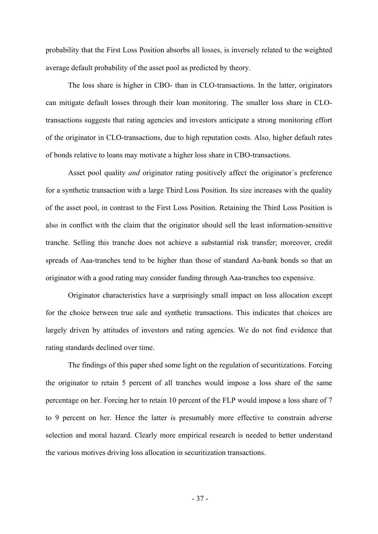probability that the First Loss Position absorbs all losses, is inversely related to the weighted average default probability of the asset pool as predicted by theory.

The loss share is higher in CBO- than in CLO-transactions. In the latter, originators can mitigate default losses through their loan monitoring. The smaller loss share in CLOtransactions suggests that rating agencies and investors anticipate a strong monitoring effort of the originator in CLO-transactions, due to high reputation costs. Also, higher default rates of bonds relative to loans may motivate a higher loss share in CBO-transactions.

Asset pool quality *and* originator rating positively affect the originator´s preference for a synthetic transaction with a large Third Loss Position. Its size increases with the quality of the asset pool, in contrast to the First Loss Position. Retaining the Third Loss Position is also in conflict with the claim that the originator should sell the least information-sensitive tranche. Selling this tranche does not achieve a substantial risk transfer; moreover, credit spreads of Aaa-tranches tend to be higher than those of standard Aa-bank bonds so that an originator with a good rating may consider funding through Aaa-tranches too expensive.

Originator characteristics have a surprisingly small impact on loss allocation except for the choice between true sale and synthetic transactions. This indicates that choices are largely driven by attitudes of investors and rating agencies. We do not find evidence that rating standards declined over time.

The findings of this paper shed some light on the regulation of securitizations. Forcing the originator to retain 5 percent of all tranches would impose a loss share of the same percentage on her. Forcing her to retain 10 percent of the FLP would impose a loss share of 7 to 9 percent on her. Hence the latter is presumably more effective to constrain adverse selection and moral hazard. Clearly more empirical research is needed to better understand the various motives driving loss allocation in securitization transactions.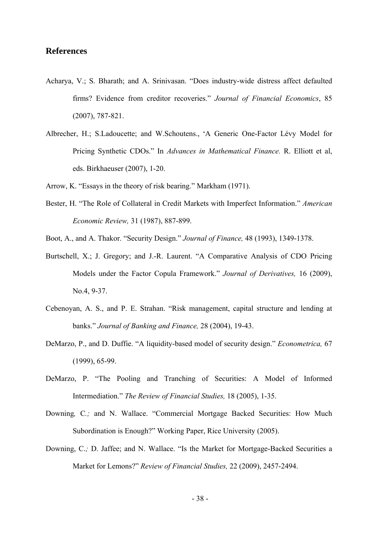#### **References**

- Acharya, V.; S. Bharath; and A. Srinivasan. "Does industry-wide distress affect defaulted firms? Evidence from creditor recoveries." *Journal of Financial Economics*, 85 (2007), 787-821.
- Albrecher, H.; S.Ladoucette; and W.Schoutens., "A Generic One-Factor Lévy Model for Pricing Synthetic CDOs." In *Advances in Mathematical Finance.* R. Elliott et al, eds. Birkhaeuser (2007), 1-20.
- Arrow, K. "Essays in the theory of risk bearing." Markham (1971).
- Bester, H. "The Role of Collateral in Credit Markets with Imperfect Information." *American Economic Review,* 31 (1987), 887-899.
- Boot, A., and A. Thakor. "Security Design." *Journal of Finance,* 48 (1993), 1349-1378.
- Burtschell, X.; J. Gregory; and J.-R. Laurent. "A Comparative Analysis of CDO Pricing Models under the Factor Copula Framework." *Journal of Derivatives,* 16 (2009), No.4, 9-37.
- Cebenoyan, A. S., and P. E. Strahan. "Risk management, capital structure and lending at banks." *Journal of Banking and Finance,* 28 (2004), 19-43.
- DeMarzo, P., and D. Duffie. "A liquidity-based model of security design." *Econometrica,* 67 (1999), 65-99.
- DeMarzo, P. "The Pooling and Tranching of Securities: A Model of Informed Intermediation." *The Review of Financial Studies,* 18 (2005), 1-35.
- Downing*,* C*.;* and N. Wallace. "Commercial Mortgage Backed Securities: How Much Subordination is Enough?" Working Paper, Rice University (2005).
- Downing, C.*;* D. Jaffee; and N. Wallace. "Is the Market for Mortgage-Backed Securities a Market for Lemons?" *Review of Financial Studies,* 22 (2009), 2457-2494.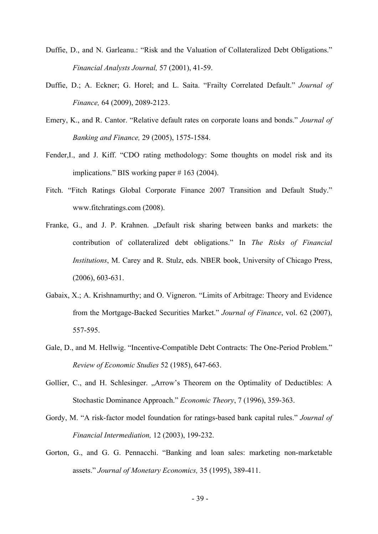- Duffie, D., and N. Garleanu.: "Risk and the Valuation of Collateralized Debt Obligations." *Financial Analysts Journal,* 57 (2001), 41-59.
- Duffie, D.; A. Eckner; G. Horel; and L. Saita. "Frailty Correlated Default." *Journal of Finance,* 64 (2009), 2089-2123.
- Emery, K., and R. Cantor. "Relative default rates on corporate loans and bonds." *Journal of Banking and Finance,* 29 (2005), 1575-1584.
- Fender,I., and J. Kiff. "CDO rating methodology: Some thoughts on model risk and its implications." BIS working paper # 163 (2004).
- Fitch. "Fitch Ratings Global Corporate Finance 2007 Transition and Default Study." www.fitchratings.com (2008).
- Franke, G., and J. P. Krahnen. "Default risk sharing between banks and markets: the contribution of collateralized debt obligations." In *The Risks of Financial Institutions*, M. Carey and R. Stulz, eds. NBER book, University of Chicago Press, (2006), 603-631.
- Gabaix, X.; A. Krishnamurthy; and O. Vigneron. "Limits of Arbitrage: Theory and Evidence from the Mortgage-Backed Securities Market." *Journal of Finance*, vol. 62 (2007), 557-595.
- Gale, D., and M. Hellwig. "Incentive-Compatible Debt Contracts: The One-Period Problem." *Review of Economic Studies* 52 (1985), 647-663.
- Gollier, C., and H. Schlesinger. "Arrow's Theorem on the Optimality of Deductibles: A Stochastic Dominance Approach." *Economic Theory*, 7 (1996), 359-363.
- Gordy, M. "A risk-factor model foundation for ratings-based bank capital rules." *Journal of Financial Intermediation,* 12 (2003), 199-232.
- Gorton, G., and G. G. Pennacchi. "Banking and loan sales: marketing non-marketable assets." *Journal of Monetary Economics,* 35 (1995), 389-411.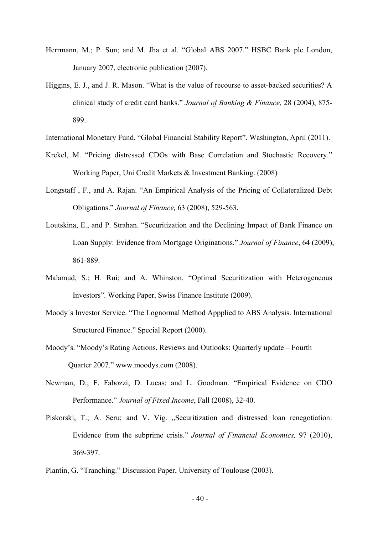- Herrmann, M.; P. Sun; and M. Jha et al. "Global ABS 2007." HSBC Bank plc London, January 2007, electronic publication (2007).
- Higgins, E. J., and J. R. Mason. "What is the value of recourse to asset-backed securities? A clinical study of credit card banks." *Journal of Banking & Finance,* 28 (2004), 875- 899.
- International Monetary Fund. "Global Financial Stability Report". Washington, April (2011).
- Krekel, M. "Pricing distressed CDOs with Base Correlation and Stochastic Recovery." Working Paper, Uni Credit Markets & Investment Banking. (2008)
- Longstaff , F., and A. Rajan. "An Empirical Analysis of the Pricing of Collateralized Debt Obligations." *Journal of Finance,* 63 (2008), 529-563.
- Loutskina, E., and P. Strahan. "Securitization and the Declining Impact of Bank Finance on Loan Supply: Evidence from Mortgage Originations." *Journal of Finance*, 64 (2009), 861-889.
- Malamud, S.; H. Rui; and A. Whinston. "Optimal Securitization with Heterogeneous Investors". Working Paper, Swiss Finance Institute (2009).
- Moody´s Investor Service. "The Lognormal Method Appplied to ABS Analysis. International Structured Finance." Special Report (2000).
- Moody's. "Moody's Rating Actions, Reviews and Outlooks: Quarterly update Fourth Quarter 2007." www.moodys.com (2008).
- Newman, D.; F. Fabozzi; D. Lucas; and L. Goodman. "Empirical Evidence on CDO Performance." *Journal of Fixed Income*, Fall (2008), 32-40.
- Piskorski, T.; A. Seru; and V. Vig. "Securitization and distressed loan renegotiation: Evidence from the subprime crisis." *Journal of Financial Economics,* 97 (2010), 369-397.
- Plantin, G. "Tranching." Discussion Paper, University of Toulouse (2003).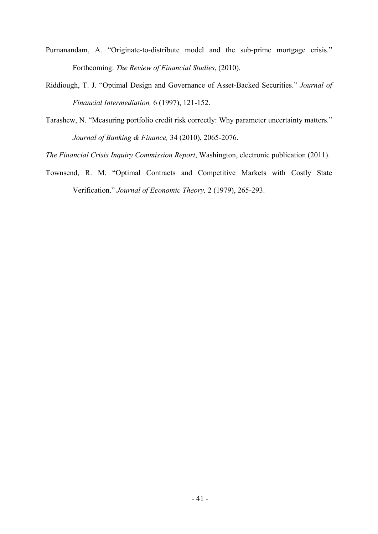- Purnanandam, A. "Originate-to-distribute model and the sub-prime mortgage crisis." Forthcoming: *The Review of Financial Studies*, (2010).
- Riddiough, T. J. "Optimal Design and Governance of Asset-Backed Securities." *Journal of Financial Intermediation,* 6 (1997), 121-152.
- Tarashew, N. "Measuring portfolio credit risk correctly: Why parameter uncertainty matters." *Journal of Banking & Finance,* 34 (2010), 2065-2076.

*The Financial Crisis Inquiry Commission Report*, Washington, electronic publication (2011).

Townsend, R. M. "Optimal Contracts and Competitive Markets with Costly State Verification." *Journal of Economic Theory,* 2 (1979), 265-293.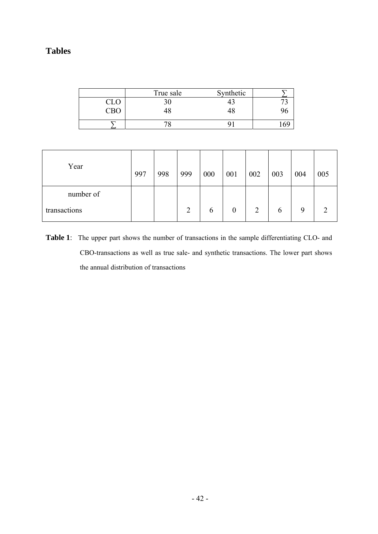## **Tables**

|     | True sale | Synthetic |  |
|-----|-----------|-----------|--|
| CLO |           |           |  |
|     |           |           |  |
|     |           |           |  |

| Year         | 997 | 998 | 999 | 000 | 001 | 002 | 003 | 004 | 005 |
|--------------|-----|-----|-----|-----|-----|-----|-----|-----|-----|
| number of    |     |     |     |     |     |     |     |     |     |
| transactions |     |     | 2   | b   |     | 2   | b   | q   |     |

**Table 1**: The upper part shows the number of transactions in the sample differentiating CLO- and CBO-transactions as well as true sale- and synthetic transactions. The lower part shows the annual distribution of transactions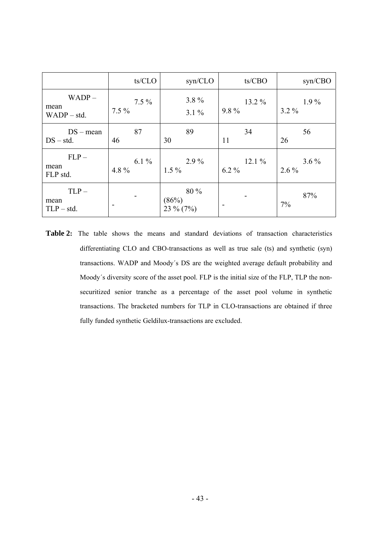|                                   | ts/CLO             | syn/CLO                       | ts/CBO            | syn/CBO            |
|-----------------------------------|--------------------|-------------------------------|-------------------|--------------------|
| $WADP -$<br>mean<br>$WADP - std.$ | $7.5\%$<br>$7.5\%$ | 3.8%<br>$3.1\%$               | 13.2 %<br>$9.8\%$ | $1.9\%$<br>$3.2\%$ |
| $DS - mean$<br>$DS - std.$        | 87<br>46           | 89<br>30                      | 34<br>11          | 56<br>26           |
| $FLP-$<br>mean<br>FLP std.        | 6.1 $%$<br>4.8 $%$ | $2.9\%$<br>$1.5\%$            | 12.1%<br>$6.2\%$  | $3.6\%$<br>$2.6\%$ |
| $TLP -$<br>mean<br>$TLP - std.$   |                    | 80 %<br>(86%)<br>23 $\%$ (7%) |                   | 87%<br>7%          |

Table 2: The table shows the means and standard deviations of transaction characteristics differentiating CLO and CBO-transactions as well as true sale (ts) and synthetic (syn) transactions. WADP and Moody´s DS are the weighted average default probability and Moody´s diversity score of the asset pool. FLP is the initial size of the FLP, TLP the nonsecuritized senior tranche as a percentage of the asset pool volume in synthetic transactions. The bracketed numbers for TLP in CLO-transactions are obtained if three fully funded synthetic Geldilux-transactions are excluded.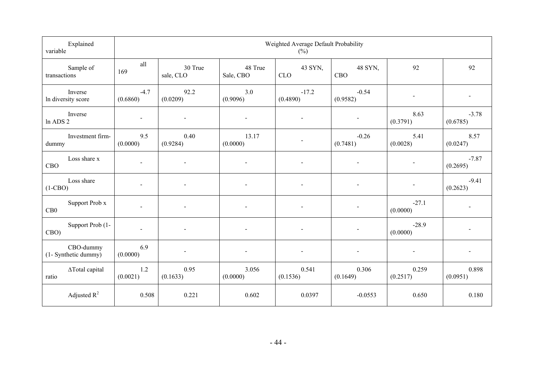| Explained<br>variable             | Weighted Average Default Probability<br>$(\%)$ |                              |                              |                          |                          |                          |                          |
|-----------------------------------|------------------------------------------------|------------------------------|------------------------------|--------------------------|--------------------------|--------------------------|--------------------------|
| Sample of<br>transactions         | all<br>169                                     | 30 True<br>sale, CLO         | 48 True<br>Sale, CBO         | 43 SYN,<br><b>CLO</b>    | 48 SYN,<br><b>CBO</b>    | 92                       | 92                       |
| Inverse<br>In diversity score     | $-4.7$<br>(0.6860)                             | 92.2<br>(0.0209)             | 3.0<br>(0.9096)              | $-17.2$<br>(0.4890)      | $-0.54$<br>(0.9582)      | $\blacksquare$           | $\blacksquare$           |
| Inverse<br>ln ADS 2               | $\overline{\phantom{a}}$                       |                              |                              |                          | $\overline{\phantom{a}}$ | 8.63<br>(0.3791)         | $-3.78$<br>(0.6785)      |
| Investment firm-<br>dummy         | 9.5<br>(0.0000)                                | 0.40<br>(0.9284)             | 13.17<br>(0.0000)            |                          | $-0.26$<br>(0.7481)      | 5.41<br>(0.0028)         | 8.57<br>(0.0247)         |
| Loss share x<br><b>CBO</b>        |                                                |                              |                              |                          | $\overline{\phantom{0}}$ |                          | $-7.87$<br>(0.2695)      |
| Loss share<br>$(1-CBO)$           |                                                |                              |                              |                          |                          |                          | $-9.41$<br>(0.2623)      |
| Support Prob x<br>CB0             |                                                |                              |                              |                          |                          | $-27.1$<br>(0.0000)      |                          |
| Support Prob (1-<br>CBO)          | $\sim$                                         | $\overline{a}$               | $\overline{a}$               | $\blacksquare$           | $\overline{\phantom{a}}$ | $-28.9$<br>(0.0000)      |                          |
| CBO-dummy<br>(1- Synthetic dummy) | 6.9<br>(0.0000)                                | $\qquad \qquad \blacksquare$ | $\qquad \qquad \blacksquare$ | $\overline{\phantom{a}}$ | $\overline{\phantom{a}}$ | $\overline{\phantom{a}}$ | $\overline{\phantom{a}}$ |
| ∆Total capital<br>ratio           | 1.2<br>(0.0021)                                | 0.95<br>(0.1633)             | 3.056<br>(0.0000)            | 0.541<br>(0.1536)        | 0.306<br>(0.1649)        | 0.259<br>(0.2517)        | 0.898<br>(0.0951)        |
| Adjusted $R^2$                    | 0.508                                          | 0.221                        | 0.602                        | 0.0397                   | $-0.0553$                | 0.650                    | 0.180                    |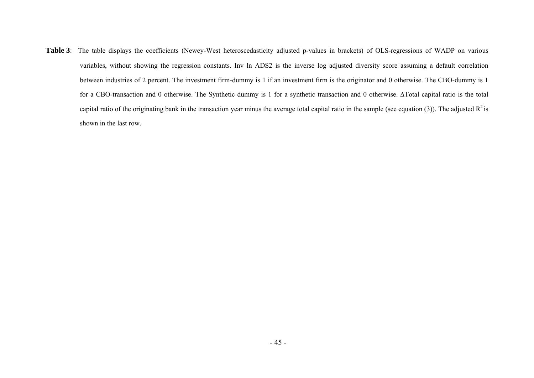Table 3: The table displays the coefficients (Newey-West heteroscedasticity adjusted p-values in brackets) of OLS-regressions of WADP on various variables, without showing the regression constants. Inv ln ADS2 is the inverse log adjusted diversity score assuming a default correlation between industries of 2 percent. The investment firm-dummy is 1 if an investment firm is the originator and 0 otherwise. The CBO-dummy is 1 for a CBO-transaction and 0 otherwise. The Synthetic dummy is 1 for a synthetic transaction and 0 otherwise. ∆Total capital ratio is the total capital ratio of the originating bank in the transaction year minus the average total capital ratio in the sample (see equation (3)). The adjusted  $R^2$  is shown in the last row.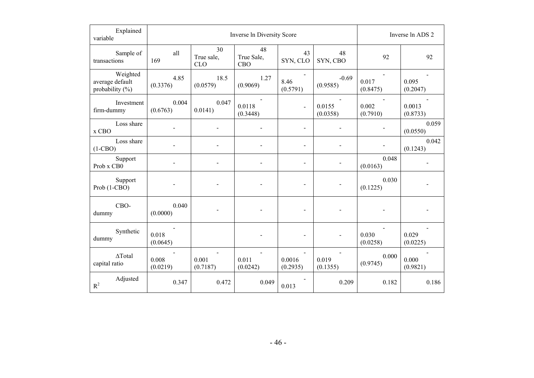| Explained<br>variable                             |                   | Inverse In Diversity Score     | Inverse ln ADS 2        |                          |                     |                   |                    |
|---------------------------------------------------|-------------------|--------------------------------|-------------------------|--------------------------|---------------------|-------------------|--------------------|
| Sample of<br>transactions                         | all<br>169        | 30<br>True sale,<br><b>CLO</b> | 48<br>True Sale,<br>CBO | 43<br>SYN, CLO           | 48<br>SYN, CBO      | 92                | 92                 |
| Weighted<br>average default<br>probability $(\%)$ | 4.85<br>(0.3376)  | 18.5<br>(0.0579)               | 1.27<br>(0.9069)        | 8.46<br>(0.5791)         | $-0.69$<br>(0.9585) | 0.017<br>(0.8475) | 0.095<br>(0.2047)  |
| Investment<br>firm-dummy                          | 0.004<br>(0.6763) | 0.047<br>0.0141)               | 0.0118<br>(0.3448)      | $\overline{\phantom{a}}$ | 0.0155<br>(0.0358)  | 0.002<br>(0.7910) | 0.0013<br>(0.8733) |
| Loss share<br>x CBO                               |                   |                                |                         |                          |                     |                   | 0.059<br>(0.0550)  |
| Loss share<br>$(1-CBO)$                           |                   |                                |                         |                          |                     |                   | 0.042<br>(0.1243)  |
| Support<br>Prob x CB0                             |                   |                                |                         | $\overline{\phantom{0}}$ |                     | 0.048<br>(0.0163) |                    |
| Support<br>Prob (1-CBO)                           |                   |                                |                         |                          |                     | 0.030<br>(0.1225) |                    |
| CBO-<br>dummy                                     | 0.040<br>(0.0000) |                                |                         |                          |                     |                   |                    |
| Synthetic<br>dummy                                | 0.018<br>(0.0645) |                                |                         |                          |                     | 0.030<br>(0.0258) | 0.029<br>(0.0225)  |
| $\Delta$ Total<br>capital ratio                   | 0.008<br>(0.0219) | 0.001<br>(0.7187)              | 0.011<br>(0.0242)       | 0.0016<br>(0.2935)       | 0.019<br>(0.1355)   | 0.000<br>(0.9745) | 0.000<br>(0.9821)  |
| Adjusted<br>$R^2$                                 | 0.347             | 0.472                          | 0.049                   | 0.013                    | 0.209               | 0.182             | 0.186              |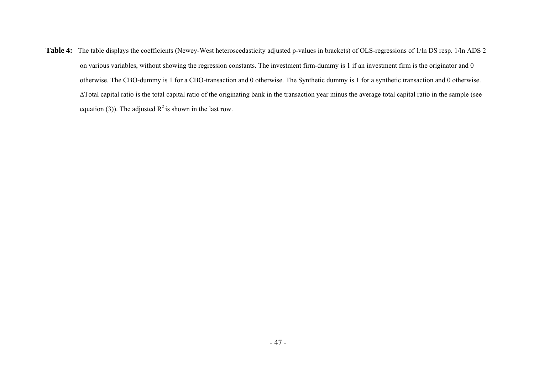Table 4: The table displays the coefficients (Newey-West heteroscedasticity adjusted p-values in brackets) of OLS-regressions of 1/ln DS resp. 1/ln ADS 2 on various variables, without showing the regression constants. The investment firm-dummy is 1 if an investment firm is the originator and 0 otherwise. The CBO-dummy is 1 for a CBO-transaction and 0 otherwise. The Synthetic dummy is 1 for a synthetic transaction and 0 otherwise. ∆Total capital ratio is the total capital ratio of the originating bank in the transaction year minus the average total capital ratio in the sample (see equation (3)). The adjusted  $R^2$  is shown in the last row.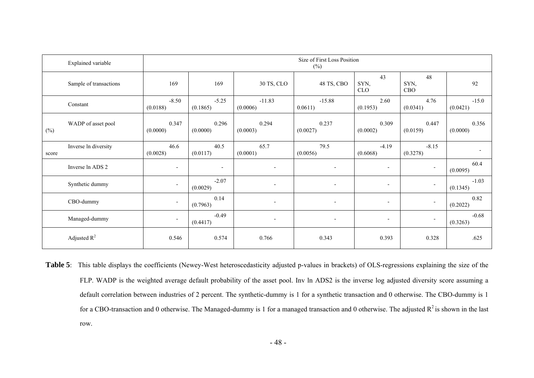|        | <b>Explained</b> variable | Size of First Loss Position<br>$(\%)$ |                     |                          |                          |                          |                          |                     |
|--------|---------------------------|---------------------------------------|---------------------|--------------------------|--------------------------|--------------------------|--------------------------|---------------------|
|        | Sample of transactions    | 169                                   | 169                 | 30 TS, CLO               | 48 TS, CBO               | 43<br>SYN,<br>CLO        | 48<br>SYN,<br><b>CBO</b> | 92                  |
|        | Constant                  | $-8.50$<br>(0.0188)                   | $-5.25$<br>(0.1865) | $-11.83$<br>(0.0006)     | $-15.88$<br>0.0611)      | 2.60<br>(0.1953)         | 4.76<br>(0.0341)         | $-15.0$<br>(0.0421) |
| $(\%)$ | WADP of asset pool        | 0.347<br>(0.0000)                     | 0.296<br>(0.0000)   | 0.294<br>(0.0003)        | 0.237<br>(0.0027)        | 0.309<br>(0.0002)        | 0.447<br>(0.0159)        | 0.356<br>(0.0000)   |
| score  | Inverse ln diversity      | 46.6<br>(0.0028)                      | 40.5<br>(0.0117)    | 65.7<br>(0.0001)         | 79.5<br>(0.0056)         | $-4.19$<br>(0.6068)      | $-8.15$<br>(0.3278)      |                     |
|        | Inverse ln ADS 2          | $\overline{\phantom{a}}$              | $\blacksquare$      | $\blacksquare$           | $\overline{\phantom{a}}$ | $\blacksquare$           | $\overline{\phantom{a}}$ | 60.4<br>(0.0095)    |
|        | Synthetic dummy           | $\overline{\phantom{a}}$              | $-2.07$<br>(0.0029) | $\overline{\phantom{a}}$ | $\overline{\phantom{a}}$ | $\overline{\phantom{a}}$ | $\overline{\phantom{a}}$ | $-1.03$<br>(0.1345) |
|        | CBO-dummy                 | $\overline{\phantom{a}}$              | 0.14<br>(0.7963)    | $\overline{\phantom{a}}$ | $\overline{\phantom{a}}$ | $\overline{\phantom{a}}$ | $\overline{\phantom{a}}$ | 0.82<br>(0.2022)    |
|        | Managed-dummy             | $\overline{\phantom{a}}$              | $-0.49$<br>(0.4417) | $\overline{\phantom{a}}$ | $\overline{\phantom{a}}$ | $\overline{\phantom{a}}$ | $\overline{\phantom{a}}$ | $-0.68$<br>(0.3263) |
|        | Adjusted $R^2$            | 0.546                                 | 0.574               | 0.766                    | 0.343                    | 0.393                    | 0.328                    | .625                |

Table 5: This table displays the coefficients (Newey-West heteroscedasticity adjusted p-values in brackets) of OLS-regressions explaining the size of the FLP. WADP is the weighted average default probability of the asset pool. Inv ln ADS2 is the inverse log adjusted diversity score assuming a default correlation between industries of 2 percent. The synthetic-dummy is 1 for a synthetic transaction and 0 otherwise. The CBO-dummy is 1 for a CBO-transaction and 0 otherwise. The Managed-dummy is 1 for a managed transaction and 0 otherwise. The adjusted  $R^2$  is shown in the last row.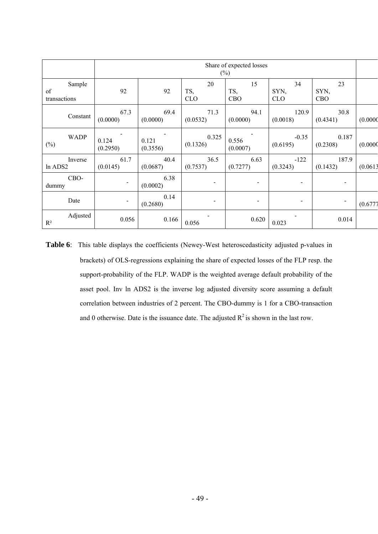|                              | Share of expected losses<br>$(\%)$ |                   |                         |                   |                          |                          |          |
|------------------------------|------------------------------------|-------------------|-------------------------|-------------------|--------------------------|--------------------------|----------|
| Sample<br>of<br>transactions | 92                                 | 92                | 20<br>TS,<br><b>CLO</b> | 15<br>TS,<br>CBO  | 34<br>SYN,<br><b>CLO</b> | 23<br>SYN,<br><b>CBO</b> |          |
| Constant                     | 67.3<br>(0.0000)                   | 69.4<br>(0.0000)  | 71.3<br>(0.0532)        | 94.1<br>(0.0000)  | 120.9<br>(0.0018)        | 30.8<br>(0.4341)         | (0.0000) |
| <b>WADP</b><br>$(\%)$        | 0.124<br>(0.2950)                  | 0.121<br>(0.3556) | 0.325<br>(0.1326)       | 0.556<br>(0.0007) | $-0.35$<br>(0.6195)      | 0.187<br>(0.2308)        | (0.0000) |
| Inverse<br>ln ADS2           | 61.7<br>(0.0145)                   | 40.4<br>(0.0687)  | 36.5<br>(0.7537)        | 6.63<br>(0.7277)  | $-122$<br>(0.3243)       | 187.9<br>(0.1432)        | (0.0613) |
| CBO-<br>dummy                |                                    | 6.38<br>(0.0002)  | $\blacksquare$          |                   | $\overline{\phantom{a}}$ | $\blacksquare$           |          |
| Date                         | -                                  | 0.14<br>(0.2680)  |                         |                   | $\blacksquare$           | $\blacksquare$           | (0.6777) |
| Adjusted<br>$R^2$            | 0.056                              | 0.166             | 0.056                   | 0.620             | 0.023                    | 0.014                    |          |

**Table 6**: This table displays the coefficients (Newey-West heteroscedasticity adjusted p-values in brackets) of OLS-regressions explaining the share of expected losses of the FLP resp. the support-probability of the FLP. WADP is the weighted average default probability of the asset pool. Inv ln ADS2 is the inverse log adjusted diversity score assuming a default correlation between industries of 2 percent. The CBO-dummy is 1 for a CBO-transaction and 0 otherwise. Date is the issuance date. The adjusted  $R^2$  is shown in the last row.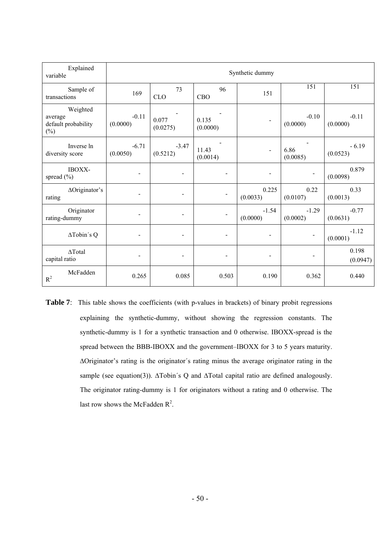| Explained<br>variable                                | Synthetic dummy     |                     |                              |                          |                     |                     |  |
|------------------------------------------------------|---------------------|---------------------|------------------------------|--------------------------|---------------------|---------------------|--|
| Sample of<br>transactions                            | 169                 | 73<br><b>CLO</b>    | 96<br>CBO                    | 151                      | 151                 | 151                 |  |
| Weighted<br>average<br>default probability<br>$(\%)$ | $-0.11$<br>(0.0000) | 0.077<br>(0.0275)   | 0.135<br>(0.0000)            |                          | $-0.10$<br>(0.0000) | $-0.11$<br>(0.0000) |  |
| Inverse In<br>diversity score                        | $-6.71$<br>(0.0050) | $-3.47$<br>(0.5212) | 11.43<br>(0.0014)            | $\blacksquare$           | 6.86<br>(0.0085)    | $-6.19$<br>(0.0523) |  |
| IBOXX-<br>spread $(\% )$                             |                     |                     | $\qquad \qquad \blacksquare$ | $\overline{\phantom{0}}$ | $\blacksquare$      | 0.879<br>(0.0098)   |  |
| ΔOriginator's<br>rating                              |                     |                     |                              | 0.225<br>(0.0033)        | 0.22<br>(0.0107)    | 0.33<br>(0.0013)    |  |
| Originator<br>rating-dummy                           |                     |                     |                              | $-1.54$<br>(0.0000)      | $-1.29$<br>(0.0002) | $-0.77$<br>(0.0631) |  |
| ΔTobin's Q                                           |                     |                     |                              | $\overline{\phantom{0}}$ |                     | $-1.12$<br>(0.0001) |  |
| $\Delta \text{Total}$<br>capital ratio               |                     |                     | $\qquad \qquad \blacksquare$ | $\overline{\phantom{0}}$ |                     | 0.198<br>(0.0947)   |  |
| McFadden<br>$R^2$                                    | 0.265               | 0.085               | 0.503                        | 0.190                    | 0.362               | 0.440               |  |

**Table 7**: This table shows the coefficients (with p-values in brackets) of binary probit regressions explaining the synthetic-dummy, without showing the regression constants. The synthetic-dummy is 1 for a synthetic transaction and 0 otherwise. IBOXX-spread is the spread between the BBB-IBOXX and the government–IBOXX for 3 to 5 years maturity. ∆Originator's rating is the originator´s rating minus the average originator rating in the sample (see equation(3)). ∆Tobin´s Q and ∆Total capital ratio are defined analogously. The originator rating-dummy is 1 for originators without a rating and 0 otherwise. The last row shows the McFadden  $R^2$ .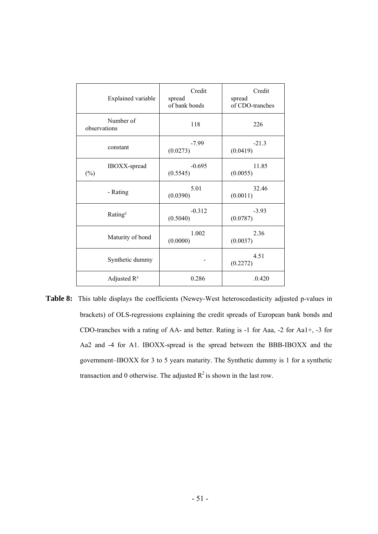| <b>Explained variable</b> | Credit<br>spread<br>of bank bonds | Credit<br>spread<br>of CDO-tranches |
|---------------------------|-----------------------------------|-------------------------------------|
| Number of<br>observations | 118                               | 226                                 |
| constant                  | $-7.99$<br>(0.0273)               | $-21.3$<br>(0.0419)                 |
| IBOXX-spread<br>$(\%)$    | $-0.695$<br>(0.5545)              | 11.85<br>(0.0055)                   |
| - Rating                  | 5.01<br>(0.0390)                  | 32.46<br>(0.0011)                   |
| Rating <sup>2</sup>       | $-0.312$<br>(0.5040)              | $-3.93$<br>(0.0787)                 |
| Maturity of bond          | 1.002<br>(0.0000)                 | 2.36<br>(0.0037)                    |
| Synthetic dummy           |                                   | 4.51<br>(0.2272)                    |
| Adjusted $R^2$            | 0.286                             | .0.420                              |

**Table 8:** This table displays the coefficients (Newey-West heteroscedasticity adjusted p-values in brackets) of OLS-regressions explaining the credit spreads of European bank bonds and CDO-tranches with a rating of AA- and better. Rating is -1 for Aaa, -2 for Aa1+, -3 for Aa2 and -4 for A1. IBOXX-spread is the spread between the BBB-IBOXX and the government–IBOXX for 3 to 5 years maturity. The Synthetic dummy is 1 for a synthetic transaction and 0 otherwise. The adjusted  $R^2$  is shown in the last row.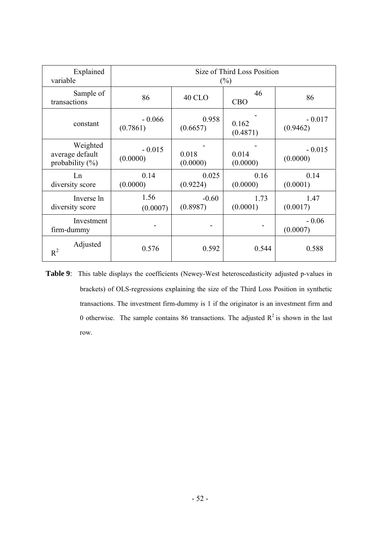| Explained                                         | Size of Third Loss Position |                   |                   |                      |  |  |
|---------------------------------------------------|-----------------------------|-------------------|-------------------|----------------------|--|--|
| variable                                          | $(\%)$                      |                   |                   |                      |  |  |
| Sample of<br>transactions                         | 86                          | <b>40 CLO</b>     | 46<br><b>CBO</b>  | 86                   |  |  |
| constant                                          | $-0.066$                    | 0.958             | 0.162             | $-0.017$             |  |  |
|                                                   | (0.7861)                    | (0.6657)          | (0.4871)          | (0.9462)             |  |  |
| Weighted<br>average default<br>probability $(\%)$ | $-0.015$<br>(0.0000)        | 0.018<br>(0.0000) | 0.014<br>(0.0000) | $-0.015$<br>(0.0000) |  |  |
| Ln                                                | 0.14                        | 0.025             | 0.16              | 0.14                 |  |  |
| diversity score                                   | (0.0000)                    | (0.9224)          | (0.0000)          | (0.0001)             |  |  |
| Inverse ln                                        | 1.56                        | $-0.60$           | 1.73              | 1.47                 |  |  |
| diversity score                                   | (0.0007)                    | (0.8987)          | (0.0001)          | (0.0017)             |  |  |
| Investment<br>firm-dummy                          |                             |                   |                   | $-0.06$<br>(0.0007)  |  |  |
| Adjusted<br>$R^2$                                 | 0.576                       | 0.592             | 0.544             | 0.588                |  |  |

**Table 9**: This table displays the coefficients (Newey-West heteroscedasticity adjusted p-values in brackets) of OLS-regressions explaining the size of the Third Loss Position in synthetic transactions. The investment firm-dummy is 1 if the originator is an investment firm and 0 otherwise. The sample contains 86 transactions. The adjusted  $R^2$  is shown in the last row.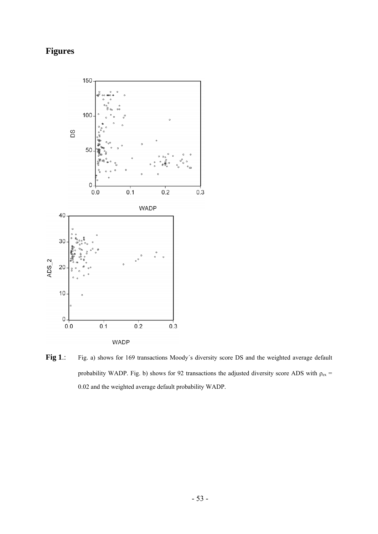## **Figures**



Fig 1.: Fig. a) shows for 169 transactions Moody's diversity score DS and the weighted average default probability WADP. Fig. b) shows for 92 transactions the adjusted diversity score ADS with  $\rho_{ex}$  = 0.02 and the weighted average default probability WADP.